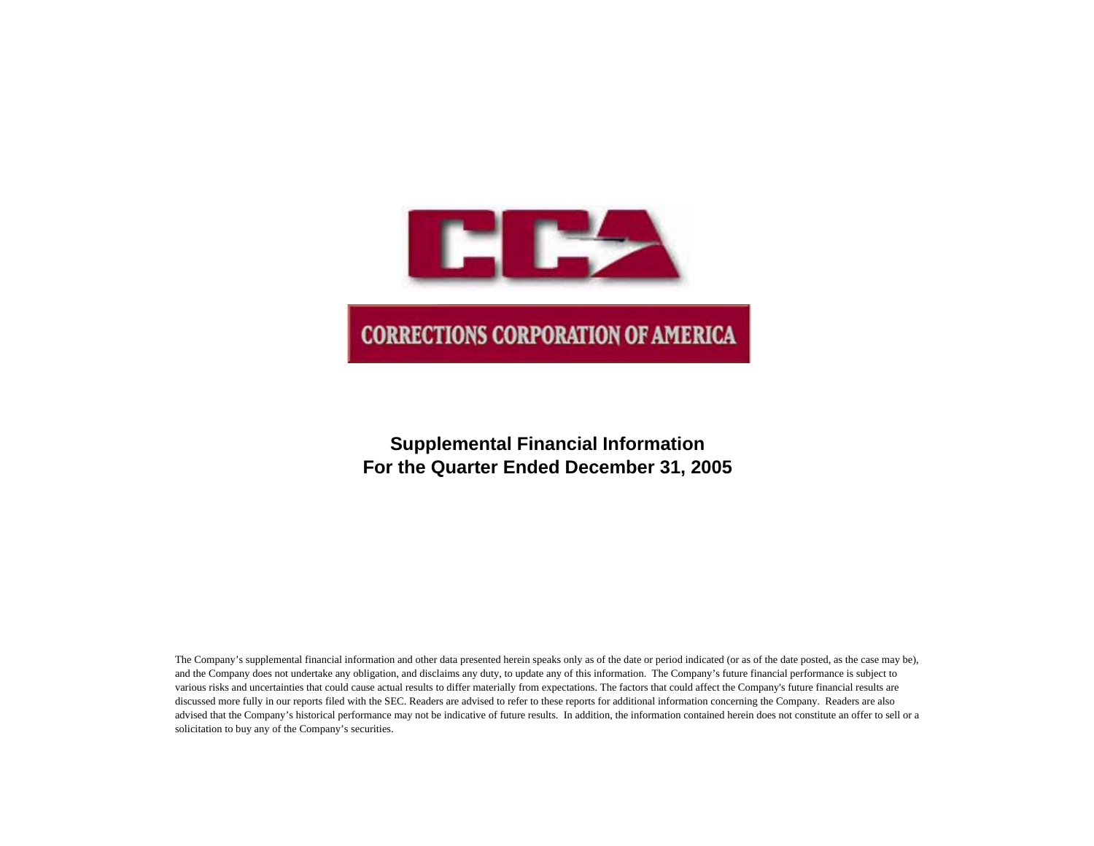

# **Supplemental Financial Information For the Quarter Ended December 31, 2005**

The Company's supplemental financial information and other data presented herein speaks only as of the date or period indicated (or as of the date posted, as the case may be), and the Company does not undertake any obligation, and disclaims any duty, to update any of this information. The Company's future financial performance is subject to various risks and uncertainties that could cause actual results to differ materially from expectations. The factors that could affect the Company's future financial results are discussed more fully in our reports filed with the SEC. Readers are advised to refer to these reports for additional information concerning the Company. Readers are also advised that the Company's historical performance may not be indicative of future results. In addition, the information contained herein does not constitute an offer to sell or a solicitation to buy any of the Company's securities.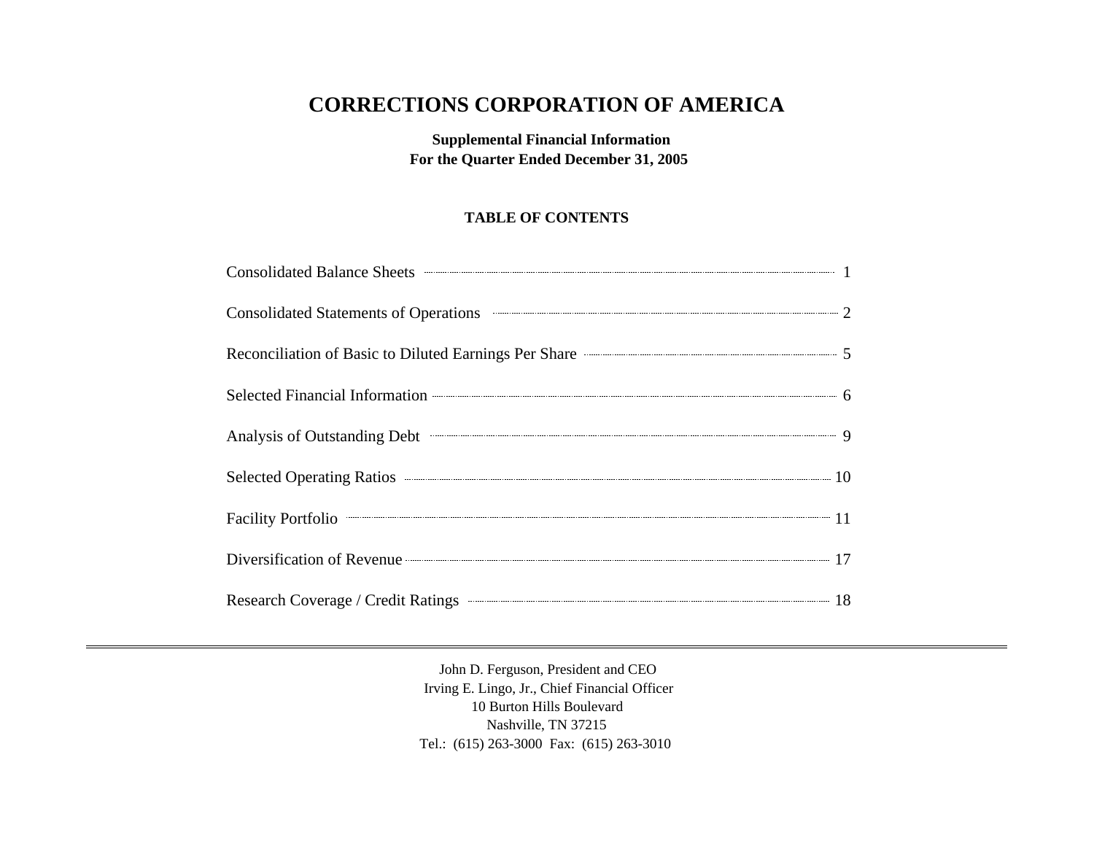# **CORRECTIONS CORPORATION OF AMERICA**

**Supplemental Financial Information For the Quarter Ended December 31, 2005**

## **TABLE OF CONTENTS**

| Consolidated Balance Sheets <b>Consolidated</b> Balance Sheets <b>Consolidated</b> Balance Sheets <b>Consolidated</b> Balance Sheets <b>Consolidated</b> Balance Sheets <b>Consolidated</b> Balance Sheets <b>Consolidated</b> Balance Sheets <b>Consolidated</b> |  |
|-------------------------------------------------------------------------------------------------------------------------------------------------------------------------------------------------------------------------------------------------------------------|--|
| Consolidated Statements of Operations <b>Consolidated Statements</b> of Operations 2                                                                                                                                                                              |  |
| Reconciliation of Basic to Diluted Earnings Per Share <b>Constanting Strate</b> 5                                                                                                                                                                                 |  |
| Selected Financial Information <b>Construction</b> 6                                                                                                                                                                                                              |  |
|                                                                                                                                                                                                                                                                   |  |
|                                                                                                                                                                                                                                                                   |  |
| Facility Portfolio <sup>21</sup>                                                                                                                                                                                                                                  |  |
| Diversification of Revenue <b>Construction</b> 17                                                                                                                                                                                                                 |  |
| Research Coverage / Credit Ratings <b>Constanting Coverage / Credit Ratings</b> 18                                                                                                                                                                                |  |

John D. Ferguson, President and CEO Irving E. Lingo, Jr., Chief Financial Officer 10 Burton Hills Boulevard Nashville, TN 37215 Tel.: (615) 263-3000 Fax: (615) 263-3010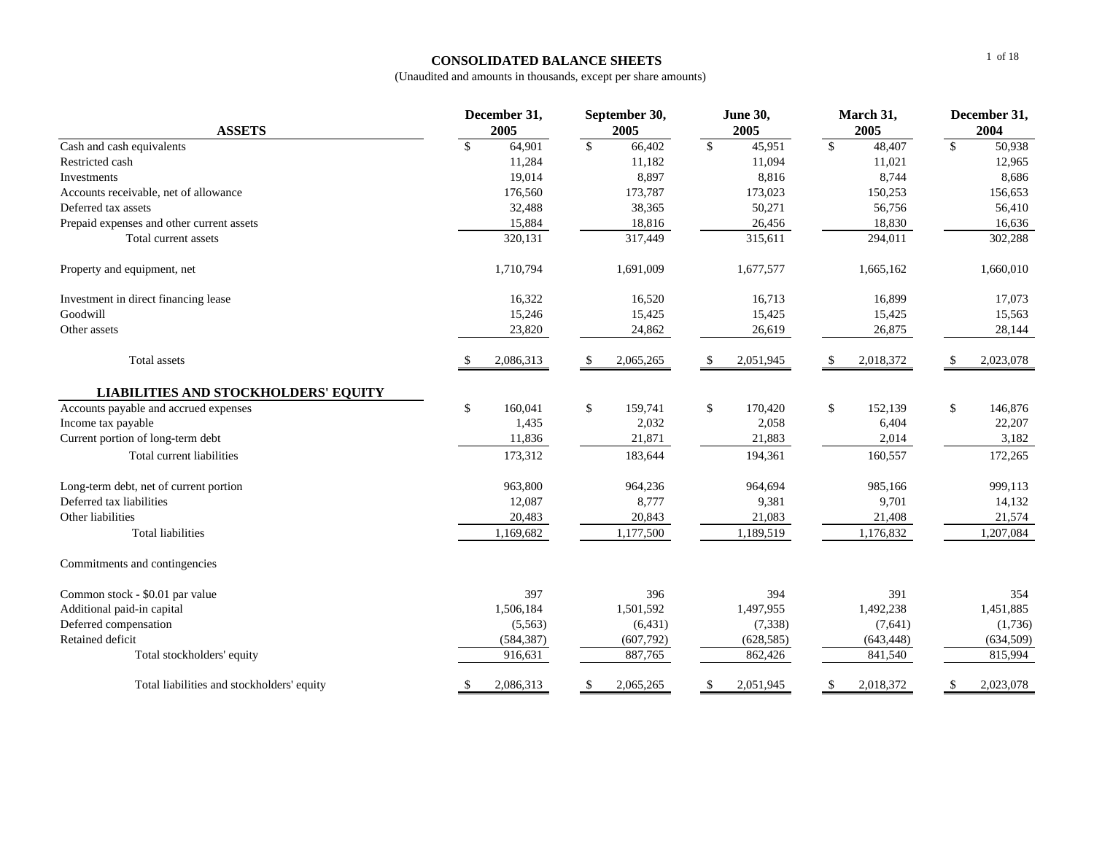#### **CONSOLIDATED BALANCE SHEETS**

| <b>ASSETS</b>                               | December 31,<br>2005   | September 30,<br>2005  | <b>June 30,</b><br>2005 | March 31,<br>2005 | December 31,<br>2004               |
|---------------------------------------------|------------------------|------------------------|-------------------------|-------------------|------------------------------------|
| Cash and cash equivalents                   | $\mathbb{S}$<br>64,901 | $\mathbb{S}$<br>66,402 | $\mathbb{S}$<br>45,951  | \$<br>48,407      | $\overline{\mathcal{S}}$<br>50,938 |
| Restricted cash                             | 11,284                 | 11,182                 | 11,094                  | 11,021            | 12,965                             |
| Investments                                 | 19,014                 | 8,897                  | 8,816                   | 8,744             | 8,686                              |
| Accounts receivable, net of allowance       | 176,560                | 173,787                | 173,023                 | 150,253           | 156,653                            |
| Deferred tax assets                         | 32,488                 | 38,365                 | 50,271                  | 56,756            | 56,410                             |
| Prepaid expenses and other current assets   | 15,884                 | 18,816                 | 26,456                  | 18,830            | 16,636                             |
| Total current assets                        | 320,131                | 317,449                | 315,611                 | 294,011           | 302,288                            |
| Property and equipment, net                 | 1,710,794              | 1,691,009              | 1,677,577               | 1,665,162         | 1,660,010                          |
| Investment in direct financing lease        | 16,322                 | 16,520                 | 16,713                  | 16,899            | 17,073                             |
| Goodwill                                    | 15,246                 | 15,425                 | 15,425                  | 15,425            | 15,563                             |
| Other assets                                | 23,820                 | 24,862                 | 26,619                  | 26,875            | 28,144                             |
| Total assets                                | 2,086,313<br>-S        | 2,065,265<br>-S        | 2,051,945<br>-S         | 2,018,372<br>-S   | 2,023,078<br>-\$                   |
| <b>LIABILITIES AND STOCKHOLDERS' EQUITY</b> |                        |                        |                         |                   |                                    |
| Accounts payable and accrued expenses       | \$<br>160,041          | \$<br>159,741          | \$<br>170,420           | \$<br>152,139     | \$<br>146,876                      |
| Income tax payable                          | 1,435                  | 2,032                  | 2,058                   | 6,404             | 22,207                             |
| Current portion of long-term debt           | 11,836                 | 21,871                 | 21,883                  | 2,014             | 3,182                              |
| Total current liabilities                   | 173,312                | 183,644                | 194,361                 | 160,557           | 172,265                            |
| Long-term debt, net of current portion      | 963,800                | 964,236                | 964,694                 | 985,166           | 999,113                            |
| Deferred tax liabilities                    | 12,087                 | 8,777                  | 9,381                   | 9,701             | 14,132                             |
| Other liabilities                           | 20,483                 | 20,843                 | 21,083                  | 21,408            | 21,574                             |
| <b>Total liabilities</b>                    | 1,169,682              | 1,177,500              | 1,189,519               | 1,176,832         | 1,207,084                          |
| Commitments and contingencies               |                        |                        |                         |                   |                                    |
| Common stock - \$0.01 par value             | 397                    | 396                    | 394                     | 391               | 354                                |
| Additional paid-in capital                  | 1,506,184              | 1,501,592              | 1,497,955               | 1,492,238         | 1,451,885                          |
| Deferred compensation                       | (5,563)                | (6, 431)               | (7, 338)                | (7,641)           | (1,736)                            |
| Retained deficit                            | (584, 387)             | (607, 792)             | (628, 585)              | (643, 448)        | (634, 509)                         |
| Total stockholders' equity                  | 916,631                | 887,765                | 862,426                 | 841,540           | 815,994                            |
| Total liabilities and stockholders' equity  | \$<br>2,086,313        | 2,065,265<br>\$        | 2,051,945<br>\$         | \$<br>2,018,372   | \$<br>2,023,078                    |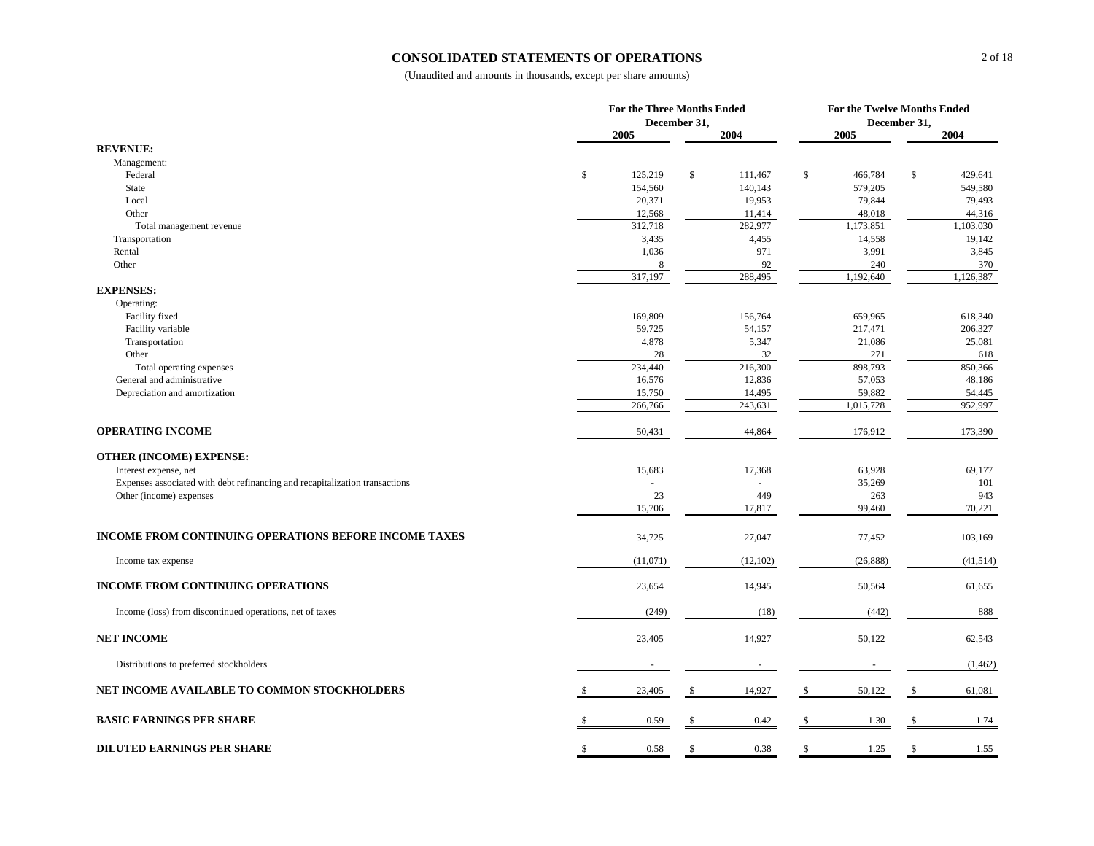#### **CONSOLIDATED STATEMENTS OF OPERATIONS**

|                                                                             |              | For the Three Months Ended |              | For the Twelve Months Ended |    |           |              |                   |
|-----------------------------------------------------------------------------|--------------|----------------------------|--------------|-----------------------------|----|-----------|--------------|-------------------|
|                                                                             |              |                            | December 31, |                             |    |           | December 31, |                   |
| <b>REVENUE:</b>                                                             |              | 2005                       |              | 2004                        |    | 2005      |              | 2004              |
| Management:                                                                 |              |                            |              |                             |    |           |              |                   |
| Federal                                                                     | $\mathbb{S}$ | 125,219                    | \$           | 111,467                     | \$ | 466,784   | \$           | 429,641           |
| State                                                                       |              | 154,560                    |              | 140,143                     |    | 579,205   |              | 549,580           |
| Local                                                                       |              | 20,371                     |              | 19,953                      |    | 79,844    |              | 79,493            |
| Other                                                                       |              | 12,568                     |              | 11,414                      |    | 48,018    |              | 44,316            |
| Total management revenue                                                    |              | 312,718                    |              | 282,977                     |    | 1,173,851 |              | 1,103,030         |
| Transportation                                                              |              | 3,435                      |              | 4,455                       |    | 14,558    |              | 19,142            |
| Rental                                                                      |              | 1,036                      |              | 971                         |    | 3,991     |              | 3,845             |
| Other                                                                       |              | 8                          |              | 92                          |    | 240       |              | 370               |
|                                                                             |              | 317,197                    |              | 288,495                     |    | 1,192,640 |              | 1,126,387         |
| <b>EXPENSES:</b>                                                            |              |                            |              |                             |    |           |              |                   |
| Operating:                                                                  |              |                            |              |                             |    |           |              |                   |
| Facility fixed                                                              |              | 169,809                    |              | 156,764                     |    | 659,965   |              | 618,340           |
| Facility variable                                                           |              | 59,725                     |              | 54,157                      |    | 217,471   |              | 206,327           |
| Transportation                                                              |              | 4,878                      |              | 5,347                       |    | 21,086    |              | 25,081            |
| Other                                                                       |              | 28                         |              | 32                          |    | 271       |              | 618               |
| Total operating expenses                                                    |              | 234,440                    |              | 216,300                     |    | 898,793   |              | 850,366           |
| General and administrative                                                  |              | 16,576                     |              | 12,836                      |    | 57,053    |              | 48,186            |
| Depreciation and amortization                                               |              | 15,750                     |              | 14,495                      |    | 59,882    |              | 54,445<br>952,997 |
|                                                                             |              | 266,766                    |              | 243,631                     |    | 1,015,728 |              |                   |
| <b>OPERATING INCOME</b>                                                     |              | 50,431                     |              | 44,864                      |    | 176,912   |              | 173,390           |
|                                                                             |              |                            |              |                             |    |           |              |                   |
| OTHER (INCOME) EXPENSE:<br>Interest expense, net                            |              | 15,683                     |              | 17,368                      |    | 63,928    |              | 69,177            |
| Expenses associated with debt refinancing and recapitalization transactions |              |                            |              |                             |    | 35,269    |              | 101               |
| Other (income) expenses                                                     |              | 23                         |              | 449                         |    | 263       |              | 943               |
|                                                                             |              | 15,706                     |              | 17,817                      |    | 99,460    |              | 70,221            |
|                                                                             |              |                            |              |                             |    |           |              |                   |
| <b>INCOME FROM CONTINUING OPERATIONS BEFORE INCOME TAXES</b>                |              | 34,725                     |              | 27,047                      |    | 77,452    |              | 103,169           |
| Income tax expense                                                          |              | (11,071)                   |              | (12, 102)                   |    | (26, 888) |              | (41,514)          |
| <b>INCOME FROM CONTINUING OPERATIONS</b>                                    |              | 23,654                     |              | 14,945                      |    | 50,564    |              | 61,655            |
| Income (loss) from discontinued operations, net of taxes                    |              | (249)                      |              | (18)                        |    | (442)     |              | 888               |
| <b>NET INCOME</b>                                                           |              | 23,405                     |              | 14,927                      |    | 50,122    |              | 62,543            |
| Distributions to preferred stockholders                                     |              |                            |              |                             |    |           |              | (1, 462)          |
|                                                                             |              |                            |              |                             |    |           |              |                   |
| NET INCOME AVAILABLE TO COMMON STOCKHOLDERS                                 |              | 23,405                     | S.           | 14,927                      | -S | 50,122    | S            | 61,081            |
| <b>BASIC EARNINGS PER SHARE</b>                                             | S            | 0.59                       | -S           | 0.42                        | S  | 1.30      | \$           | 1.74              |
| <b>DILUTED EARNINGS PER SHARE</b>                                           | \$           | 0.58                       | -S           | 0.38                        | \$ | 1.25      | \$           | 1.55              |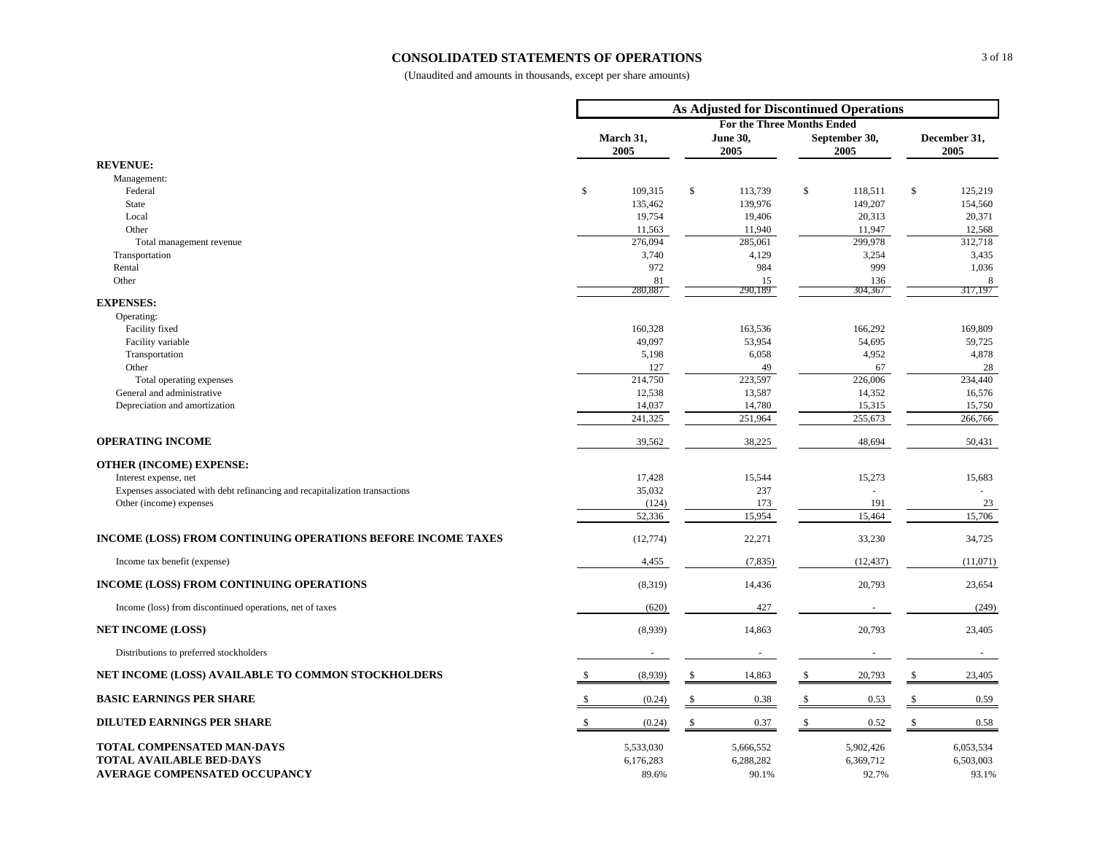#### **CONSOLIDATED STATEMENTS OF OPERATIONS**

|                                                                             | <b>As Adjusted for Discontinued Operations</b> |                   |    |                                   |    |                       |                      |                  |  |  |
|-----------------------------------------------------------------------------|------------------------------------------------|-------------------|----|-----------------------------------|----|-----------------------|----------------------|------------------|--|--|
|                                                                             |                                                |                   |    | <b>For the Three Months Ended</b> |    |                       |                      |                  |  |  |
|                                                                             |                                                | March 31,<br>2005 |    | <b>June 30,</b><br>2005           |    | September 30,<br>2005 | December 31,<br>2005 |                  |  |  |
| <b>REVENUE:</b>                                                             |                                                |                   |    |                                   |    |                       |                      |                  |  |  |
| Management:                                                                 |                                                |                   |    |                                   |    |                       |                      |                  |  |  |
| Federal                                                                     | \$                                             | 109,315           | \$ | 113,739                           | \$ | 118,511               | \$                   | 125,219          |  |  |
| State                                                                       |                                                | 135,462           |    | 139,976                           |    | 149,207               |                      | 154,560          |  |  |
| Local<br>Other                                                              |                                                | 19,754<br>11,563  |    | 19,406<br>11,940                  |    | 20,313<br>11,947      |                      | 20,371<br>12,568 |  |  |
| Total management revenue                                                    |                                                | 276,094           |    | 285,061                           |    | 299,978               |                      | 312,718          |  |  |
| Transportation                                                              |                                                | 3,740             |    | 4,129                             |    | 3,254                 |                      | 3,435            |  |  |
| Rental                                                                      |                                                | 972               |    | 984                               |    | 999                   |                      | 1,036            |  |  |
| Other                                                                       |                                                | 81                |    | 15                                |    | 136                   |                      | 8                |  |  |
|                                                                             |                                                | 280,887           |    | 290,189                           |    | 304,367               |                      | 317,197          |  |  |
| <b>EXPENSES:</b><br>Operating:                                              |                                                |                   |    |                                   |    |                       |                      |                  |  |  |
| Facility fixed                                                              |                                                | 160,328           |    | 163,536                           |    | 166,292               |                      | 169,809          |  |  |
| Facility variable                                                           |                                                | 49,097            |    | 53,954                            |    | 54,695                |                      | 59,725           |  |  |
| Transportation                                                              |                                                | 5,198             |    | 6,058                             |    | 4,952                 |                      | 4,878            |  |  |
| Other                                                                       |                                                | 127               |    | 49                                |    | 67                    |                      | 28               |  |  |
| Total operating expenses                                                    |                                                | 214,750           |    | 223,597                           |    | 226,006               |                      | 234,440          |  |  |
| General and administrative                                                  |                                                | 12,538            |    | 13,587                            |    | 14,352                |                      | 16,576           |  |  |
| Depreciation and amortization                                               |                                                | 14,037            |    | 14,780                            |    | 15,315                |                      | 15,750           |  |  |
|                                                                             |                                                | 241,325           |    | 251,964                           |    | 255,673               |                      | 266,766          |  |  |
| <b>OPERATING INCOME</b>                                                     |                                                | 39,562            |    | 38,225                            |    | 48,694                |                      | 50,431           |  |  |
| <b>OTHER (INCOME) EXPENSE:</b>                                              |                                                |                   |    |                                   |    |                       |                      |                  |  |  |
| Interest expense, net                                                       |                                                | 17,428            |    | 15,544                            |    | 15,273                |                      | 15,683           |  |  |
| Expenses associated with debt refinancing and recapitalization transactions |                                                | 35,032            |    | 237                               |    |                       |                      |                  |  |  |
| Other (income) expenses                                                     |                                                | (124)             |    | 173                               |    | 191                   |                      | 23               |  |  |
|                                                                             |                                                | 52,336            |    | 15,954                            |    | 15,464                |                      | 15,706           |  |  |
| INCOME (LOSS) FROM CONTINUING OPERATIONS BEFORE INCOME TAXES                |                                                | (12, 774)         |    | 22,271                            |    | 33,230                |                      | 34,725           |  |  |
| Income tax benefit (expense)                                                |                                                | 4,455             |    | (7, 835)                          |    | (12, 437)             |                      | (11,071)         |  |  |
| INCOME (LOSS) FROM CONTINUING OPERATIONS                                    |                                                | (8,319)           |    | 14,436                            |    | 20,793                |                      | 23,654           |  |  |
| Income (loss) from discontinued operations, net of taxes                    |                                                | (620)             |    | 427                               |    |                       |                      | (249)            |  |  |
| <b>NET INCOME (LOSS)</b>                                                    |                                                | (8,939)           |    | 14,863                            |    | 20,793                |                      | 23,405           |  |  |
| Distributions to preferred stockholders                                     |                                                |                   |    |                                   |    |                       |                      | $\sim$           |  |  |
| NET INCOME (LOSS) AVAILABLE TO COMMON STOCKHOLDERS                          |                                                | (8,939)           | S  | 14,863                            |    | 20,793                | -S                   | 23,405           |  |  |
| <b>BASIC EARNINGS PER SHARE</b>                                             |                                                | (0.24)            | \$ | 0.38                              | \$ | 0.53                  | \$                   | 0.59             |  |  |
| <b>DILUTED EARNINGS PER SHARE</b>                                           | $\mathbb{S}$                                   | (0.24)            | \$ | 0.37                              | \$ | 0.52                  | \$                   | 0.58             |  |  |
| TOTAL COMPENSATED MAN-DAYS                                                  |                                                | 5,533,030         |    | 5,666,552                         |    | 5,902,426             |                      | 6,053,534        |  |  |
| <b>TOTAL AVAILABLE BED-DAYS</b>                                             |                                                | 6,176,283         |    | 6,288,282                         |    | 6,369,712             |                      | 6,503,003        |  |  |
| <b>AVERAGE COMPENSATED OCCUPANCY</b>                                        |                                                | 89.6%             |    | 90.1%                             |    | 92.7%                 |                      | 93.1%            |  |  |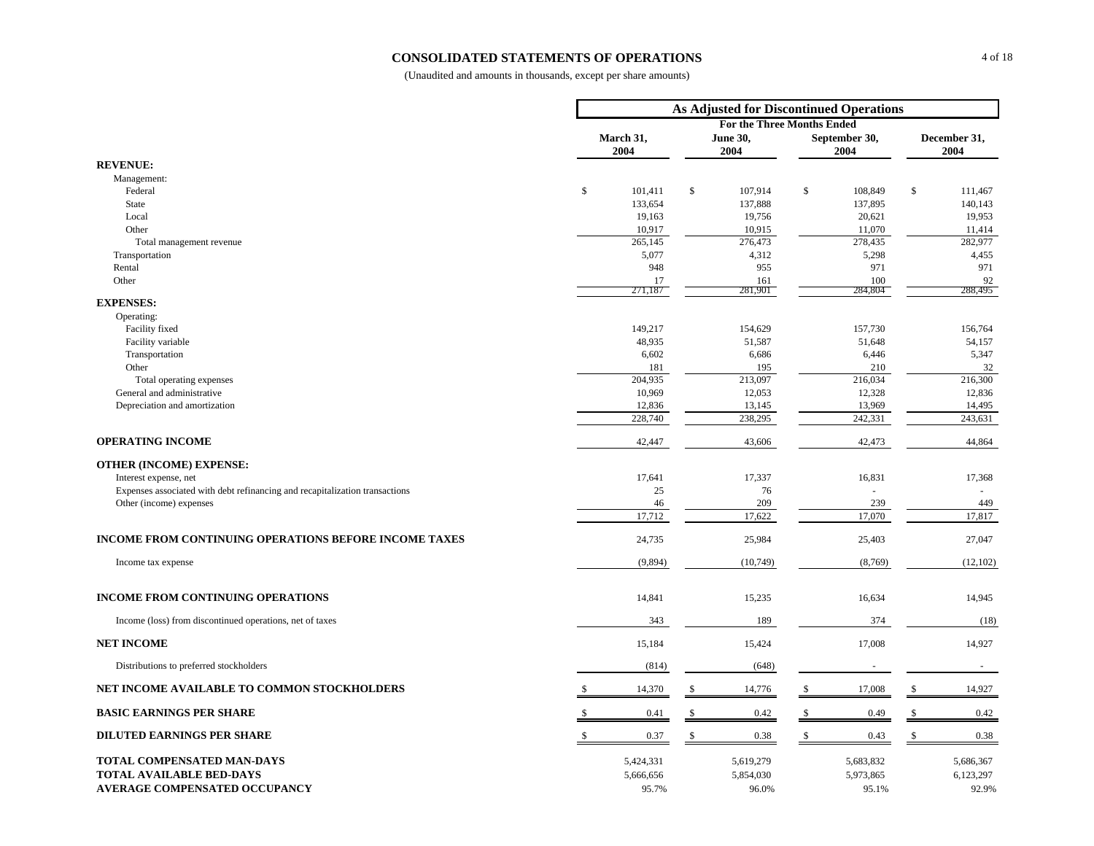#### **CONSOLIDATED STATEMENTS OF OPERATIONS**

|                                                                                                       | <b>As Adjusted for Discontinued Operations</b> |                                 |                  |                                   |              |                                 |                      |                                 |  |  |
|-------------------------------------------------------------------------------------------------------|------------------------------------------------|---------------------------------|------------------|-----------------------------------|--------------|---------------------------------|----------------------|---------------------------------|--|--|
|                                                                                                       |                                                |                                 |                  | <b>For the Three Months Ended</b> |              |                                 |                      |                                 |  |  |
|                                                                                                       |                                                | March 31,<br>2004               | June 30,<br>2004 |                                   |              | September 30,<br>2004           | December 31,<br>2004 |                                 |  |  |
| <b>REVENUE:</b>                                                                                       |                                                |                                 |                  |                                   |              |                                 |                      |                                 |  |  |
| Management:                                                                                           |                                                |                                 |                  |                                   |              |                                 |                      |                                 |  |  |
| Federal                                                                                               | $\mathbb{S}$                                   | 101,411                         | $\mathbb{S}$     | 107,914                           | $\mathbb{S}$ | 108,849                         | $\$$                 | 111,467                         |  |  |
| <b>State</b>                                                                                          |                                                | 133,654                         |                  | 137,888                           |              | 137,895                         |                      | 140,143                         |  |  |
| Local                                                                                                 |                                                | 19,163                          |                  | 19,756                            |              | 20,621                          |                      | 19,953                          |  |  |
| Other                                                                                                 |                                                | 10,917<br>265,145               |                  | 10,915<br>276,473                 |              | 11,070<br>278,435               |                      | 11,414<br>282,977               |  |  |
| Total management revenue<br>Transportation                                                            |                                                | 5,077                           |                  | 4,312                             |              | 5,298                           |                      | 4,455                           |  |  |
| Rental                                                                                                |                                                | 948                             |                  | 955                               |              | 971                             |                      | 971                             |  |  |
| Other                                                                                                 |                                                | 17                              |                  | 161                               |              | 100                             |                      | 92                              |  |  |
|                                                                                                       |                                                | 271,187                         |                  | 281,901                           |              | 284,804                         |                      | 288,495                         |  |  |
| <b>EXPENSES:</b>                                                                                      |                                                |                                 |                  |                                   |              |                                 |                      |                                 |  |  |
| Operating:                                                                                            |                                                |                                 |                  |                                   |              |                                 |                      |                                 |  |  |
| Facility fixed                                                                                        |                                                | 149,217                         |                  | 154,629                           |              | 157,730                         |                      | 156,764                         |  |  |
| Facility variable                                                                                     |                                                | 48,935                          |                  | 51,587                            |              | 51,648                          |                      | 54,157                          |  |  |
| Transportation                                                                                        |                                                | 6,602                           |                  | 6,686                             |              | 6,446                           |                      | 5,347                           |  |  |
| Other<br>Total operating expenses                                                                     |                                                | 181<br>204,935                  |                  | 195<br>213,097                    |              | 210<br>216,034                  |                      | 32<br>216,300                   |  |  |
| General and administrative                                                                            |                                                | 10,969                          |                  | 12,053                            |              | 12,328                          |                      | 12,836                          |  |  |
| Depreciation and amortization                                                                         |                                                | 12,836                          |                  | 13,145                            |              | 13,969                          |                      | 14,495                          |  |  |
|                                                                                                       |                                                | 228,740                         |                  | 238,295                           |              | 242,331                         |                      | 243,631                         |  |  |
| <b>OPERATING INCOME</b>                                                                               |                                                | 42,447                          |                  | 43,606                            |              | 42,473                          |                      | 44,864                          |  |  |
|                                                                                                       |                                                |                                 |                  |                                   |              |                                 |                      |                                 |  |  |
| <b>OTHER (INCOME) EXPENSE:</b>                                                                        |                                                | 17,641                          |                  | 17,337                            |              | 16,831                          |                      | 17,368                          |  |  |
| Interest expense, net<br>Expenses associated with debt refinancing and recapitalization transactions  |                                                | 25                              |                  | 76                                |              |                                 |                      | $\mathbf{r}$                    |  |  |
| Other (income) expenses                                                                               |                                                | 46                              |                  | 209                               |              | 239                             |                      | 449                             |  |  |
|                                                                                                       |                                                | 17,712                          |                  | 17,622                            |              | 17,070                          |                      | 17,817                          |  |  |
| <b>INCOME FROM CONTINUING OPERATIONS BEFORE INCOME TAXES</b>                                          |                                                | 24,735                          |                  | 25,984                            |              | 25,403                          |                      | 27,047                          |  |  |
| Income tax expense                                                                                    |                                                | (9,894)                         |                  | (10,749)                          |              | (8,769)                         |                      | (12,102)                        |  |  |
|                                                                                                       |                                                |                                 |                  |                                   |              |                                 |                      |                                 |  |  |
| INCOME FROM CONTINUING OPERATIONS                                                                     |                                                | 14,841                          |                  | 15,235                            |              | 16,634                          |                      | 14,945                          |  |  |
| Income (loss) from discontinued operations, net of taxes                                              |                                                | 343                             |                  | 189                               |              | 374                             |                      | (18)                            |  |  |
| <b>NET INCOME</b>                                                                                     |                                                | 15,184                          |                  | 15,424                            |              | 17,008                          |                      | 14,927                          |  |  |
| Distributions to preferred stockholders                                                               |                                                | (814)                           |                  | (648)                             |              | $\sim$                          |                      | $\sim$                          |  |  |
| NET INCOME AVAILABLE TO COMMON STOCKHOLDERS                                                           |                                                | 14,370                          | S                | 14,776                            |              | 17,008                          | S                    | 14,927                          |  |  |
| <b>BASIC EARNINGS PER SHARE</b>                                                                       |                                                | 0.41                            | \$               | 0.42                              | \$           | 0.49                            | $\mathbb{S}$         | 0.42                            |  |  |
| <b>DILUTED EARNINGS PER SHARE</b>                                                                     | \$                                             | 0.37                            | $\mathbb{S}$     | 0.38                              | \$           | 0.43                            | $\mathbb{S}$         | 0.38                            |  |  |
| TOTAL COMPENSATED MAN-DAYS<br><b>TOTAL AVAILABLE BED-DAYS</b><br><b>AVERAGE COMPENSATED OCCUPANCY</b> |                                                | 5,424,331<br>5,666,656<br>95.7% |                  | 5,619,279<br>5,854,030<br>96.0%   |              | 5,683,832<br>5,973,865<br>95.1% |                      | 5,686,367<br>6,123,297<br>92.9% |  |  |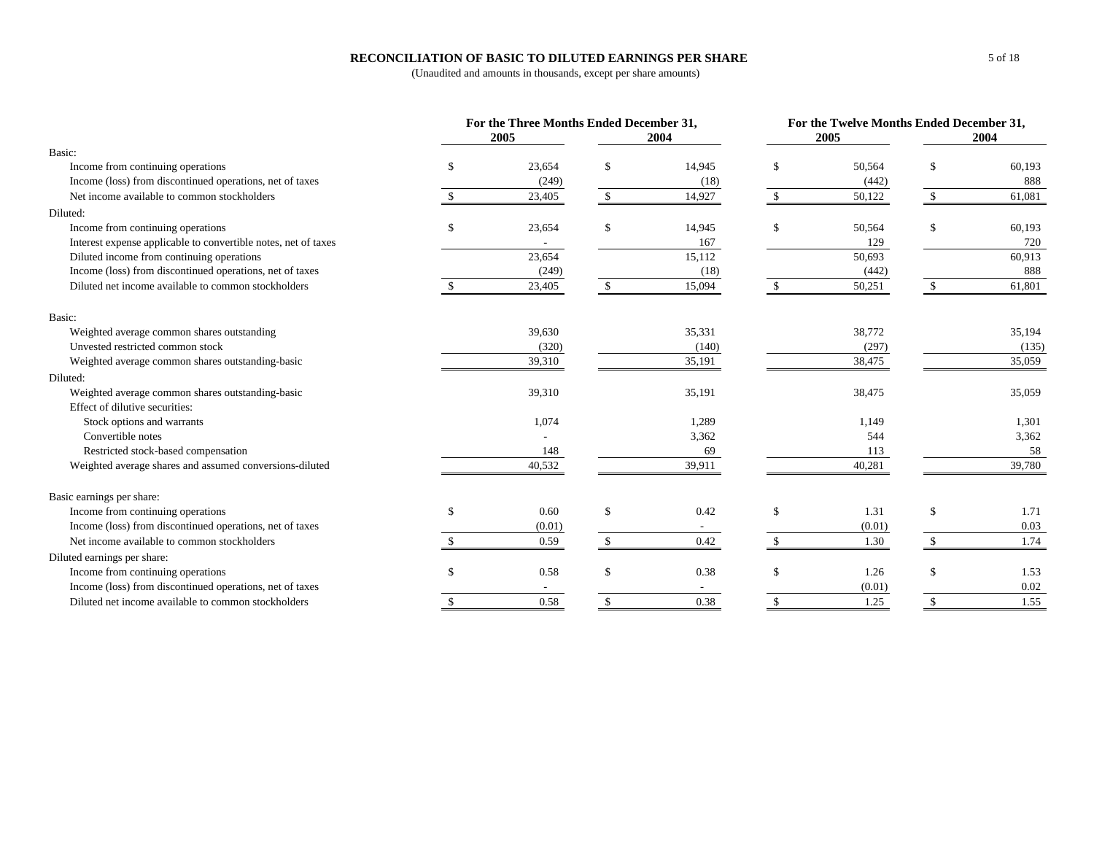## **RECONCILIATION OF BASIC TO DILUTED EARNINGS PER SHARE**

|                                                                | For the Three Months Ended December 31, |               |        |                    |        | For the Twelve Months Ended December 31, |        |  |
|----------------------------------------------------------------|-----------------------------------------|---------------|--------|--------------------|--------|------------------------------------------|--------|--|
|                                                                | 2005                                    |               | 2004   |                    | 2005   |                                          | 2004   |  |
| Basic:                                                         |                                         |               |        |                    |        |                                          |        |  |
| Income from continuing operations                              | 23,654                                  | $\mathcal{S}$ | 14,945 | $\mathcal{S}$      | 50,564 | \$                                       | 60,193 |  |
| Income (loss) from discontinued operations, net of taxes       | (249)                                   |               | (18)   |                    | (442)  |                                          | 888    |  |
| Net income available to common stockholders                    | 23,405                                  | \$            | 14,927 | \$                 | 50,122 | \$                                       | 61,081 |  |
| Diluted:                                                       |                                         |               |        |                    |        |                                          |        |  |
| Income from continuing operations                              | \$<br>23,654                            | \$            | 14,945 | $\mathbf{\$}$      | 50,564 | \$                                       | 60,193 |  |
| Interest expense applicable to convertible notes, net of taxes |                                         |               | 167    |                    | 129    |                                          | 720    |  |
| Diluted income from continuing operations                      | 23,654                                  |               | 15,112 |                    | 50,693 |                                          | 60,913 |  |
| Income (loss) from discontinued operations, net of taxes       | (249)                                   |               | (18)   |                    | (442)  |                                          | 888    |  |
| Diluted net income available to common stockholders            | 23,405                                  |               | 15,094 |                    | 50,251 |                                          | 61,801 |  |
| Basic:                                                         |                                         |               |        |                    |        |                                          |        |  |
| Weighted average common shares outstanding                     | 39,630                                  |               | 35,331 |                    | 38,772 |                                          | 35,194 |  |
| Unvested restricted common stock                               | (320)                                   |               | (140)  |                    | (297)  |                                          | (135)  |  |
| Weighted average common shares outstanding-basic               | 39,310                                  |               | 35,191 |                    | 38,475 |                                          | 35,059 |  |
| Diluted:                                                       |                                         |               |        |                    |        |                                          |        |  |
| Weighted average common shares outstanding-basic               | 39,310                                  |               | 35,191 |                    | 38,475 |                                          | 35,059 |  |
| Effect of dilutive securities:                                 |                                         |               |        |                    |        |                                          |        |  |
| Stock options and warrants                                     | 1,074                                   |               | 1,289  |                    | 1,149  |                                          | 1,301  |  |
| Convertible notes                                              |                                         |               | 3,362  |                    | 544    |                                          | 3,362  |  |
| Restricted stock-based compensation                            | 148                                     |               | 69     |                    | 113    |                                          | 58     |  |
| Weighted average shares and assumed conversions-diluted        | 40,532                                  |               | 39,911 |                    | 40,281 |                                          | 39,780 |  |
| Basic earnings per share:                                      |                                         |               |        |                    |        |                                          |        |  |
| Income from continuing operations                              | \$<br>0.60                              | \$            | 0.42   | \$                 | 1.31   | \$                                       | 1.71   |  |
| Income (loss) from discontinued operations, net of taxes       | (0.01)                                  |               |        |                    | (0.01) |                                          | 0.03   |  |
| Net income available to common stockholders                    | 0.59                                    | \$            | 0.42   | $\mathbf{\hat{S}}$ | 1.30   | \$                                       | 1.74   |  |
| Diluted earnings per share:                                    |                                         |               |        |                    |        |                                          |        |  |
| Income from continuing operations                              | 0.58                                    | \$            | 0.38   | <sup>\$</sup>      | 1.26   | \$                                       | 1.53   |  |
|                                                                |                                         |               |        |                    |        |                                          |        |  |
| Income (loss) from discontinued operations, net of taxes       |                                         |               |        |                    | (0.01) |                                          | 0.02   |  |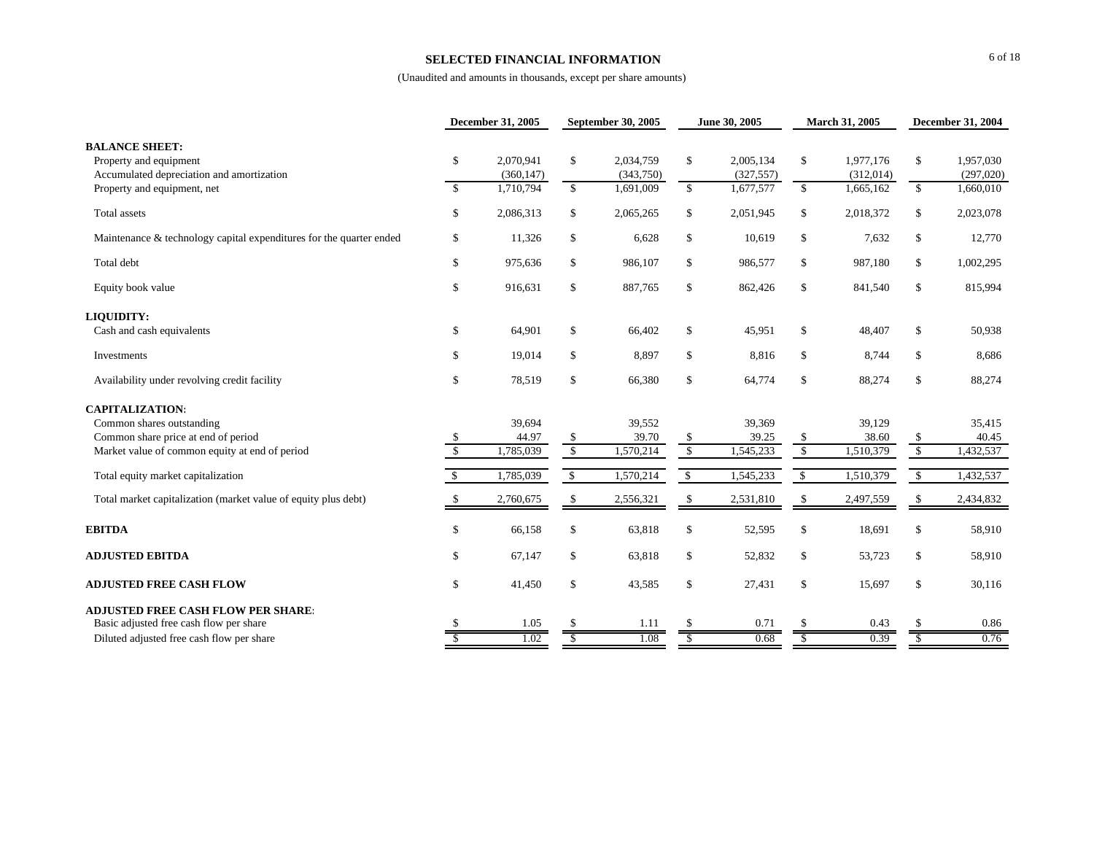#### **SELECTED FINANCIAL INFORMATION**

|                                                                                              |                                | <b>December 31, 2005</b> | September 30, 2005   |                        |            | June 30, 2005           |                                        | March 31, 2005         | <b>December 31, 2004</b>    |                        |
|----------------------------------------------------------------------------------------------|--------------------------------|--------------------------|----------------------|------------------------|------------|-------------------------|----------------------------------------|------------------------|-----------------------------|------------------------|
| <b>BALANCE SHEET:</b><br>Property and equipment<br>Accumulated depreciation and amortization | \$                             | 2,070,941<br>(360, 147)  | \$                   | 2,034,759<br>(343,750) | \$         | 2,005,134<br>(327, 557) | \$                                     | 1,977,176<br>(312,014) | \$                          | 1,957,030<br>(297,020) |
| Property and equipment, net                                                                  | $\mathbb{S}$                   | 1,710,794                | \$                   | 1,691,009              | \$         | 1,677,577               | \$                                     | 1,665,162              | \$                          | 1,660,010              |
| <b>Total</b> assets                                                                          | \$                             | 2,086,313                | \$                   | 2,065,265              | \$         | 2,051,945               | \$                                     | 2,018,372              | \$                          | 2,023,078              |
| Maintenance & technology capital expenditures for the quarter ended                          | \$                             | 11,326                   | \$                   | 6,628                  | \$         | 10,619                  | $\mathbb{S}$                           | 7,632                  | \$                          | 12,770                 |
| Total debt                                                                                   | \$                             | 975,636                  | \$                   | 986,107                | \$         | 986,577                 | \$                                     | 987,180                | \$                          | 1,002,295              |
| Equity book value                                                                            | \$                             | 916,631                  | \$                   | 887,765                | \$         | 862,426                 | $\mathbb{S}$                           | 841,540                | \$                          | 815,994                |
| LIQUIDITY:                                                                                   |                                |                          |                      |                        |            |                         |                                        |                        |                             |                        |
| Cash and cash equivalents                                                                    | \$                             | 64,901                   | \$                   | 66,402                 | \$         | 45,951                  | \$                                     | 48,407                 | \$                          | 50,938                 |
| Investments                                                                                  | \$                             | 19,014                   | \$                   | 8,897                  | \$         | 8,816                   | \$                                     | 8,744                  | \$                          | 8,686                  |
| Availability under revolving credit facility                                                 | \$                             | 78,519                   | \$                   | 66,380                 | \$         | 64,774                  | $\mathbb S$                            | 88,274                 | \$                          | 88,274                 |
| <b>CAPITALIZATION:</b>                                                                       |                                |                          |                      |                        |            |                         |                                        |                        |                             |                        |
| Common shares outstanding                                                                    |                                | 39,694                   |                      | 39,552                 |            | 39,369                  |                                        | 39.129                 |                             | 35,415                 |
| Common share price at end of period<br>Market value of common equity at end of period        | \$<br>$\overline{\mathcal{S}}$ | 44.97<br>1,785,039       | \$<br>\$             | 39.70<br>1,570,214     | \$<br>\$   | 39.25<br>1,545,233      | $\mathbb S$<br>$\sqrt[6]{\frac{1}{2}}$ | 38.60<br>1,510,379     | $\frac{1}{2}$<br>$\sqrt{3}$ | 40.45<br>1,432,537     |
|                                                                                              |                                |                          |                      |                        |            |                         |                                        |                        |                             |                        |
| Total equity market capitalization                                                           | $\sqrt{3}$                     | 1,785,039                | $\sqrt{\frac{2}{2}}$ | 1,570,214              | $\sqrt{3}$ | 1,545,233               | $\sqrt{3}$                             | 1,510,379              | $\sqrt{2}$                  | 1,432,537              |
| Total market capitalization (market value of equity plus debt)                               | $\mathbb{S}$                   | 2,760,675                | \$                   | 2,556,321              | \$         | 2,531,810               | \$                                     | 2,497,559              | \$                          | 2,434,832              |
| <b>EBITDA</b>                                                                                | \$                             | 66,158                   | \$                   | 63,818                 | \$         | 52,595                  | \$                                     | 18,691                 | \$                          | 58,910                 |
| <b>ADJUSTED EBITDA</b>                                                                       | \$                             | 67,147                   | \$                   | 63,818                 | \$         | 52,832                  | \$                                     | 53,723                 | \$                          | 58,910                 |
| <b>ADJUSTED FREE CASH FLOW</b>                                                               | \$                             | 41,450                   | \$                   | 43,585                 | \$         | 27,431                  | $\$$                                   | 15,697                 | \$                          | 30,116                 |
| <b>ADJUSTED FREE CASH FLOW PER SHARE:</b>                                                    |                                |                          |                      |                        |            |                         |                                        |                        |                             |                        |
| Basic adjusted free cash flow per share                                                      |                                | 1.05                     |                      | 1.11                   |            | 0.71                    | \$                                     | 0.43                   | -S                          | 0.86                   |
| Diluted adjusted free cash flow per share                                                    |                                | 1.02                     | S                    | 1.08                   | S          | 0.68                    | $\overline{\mathbb{S}}$                | 0.39                   | $\overline{\mathcal{S}}$    | 0.76                   |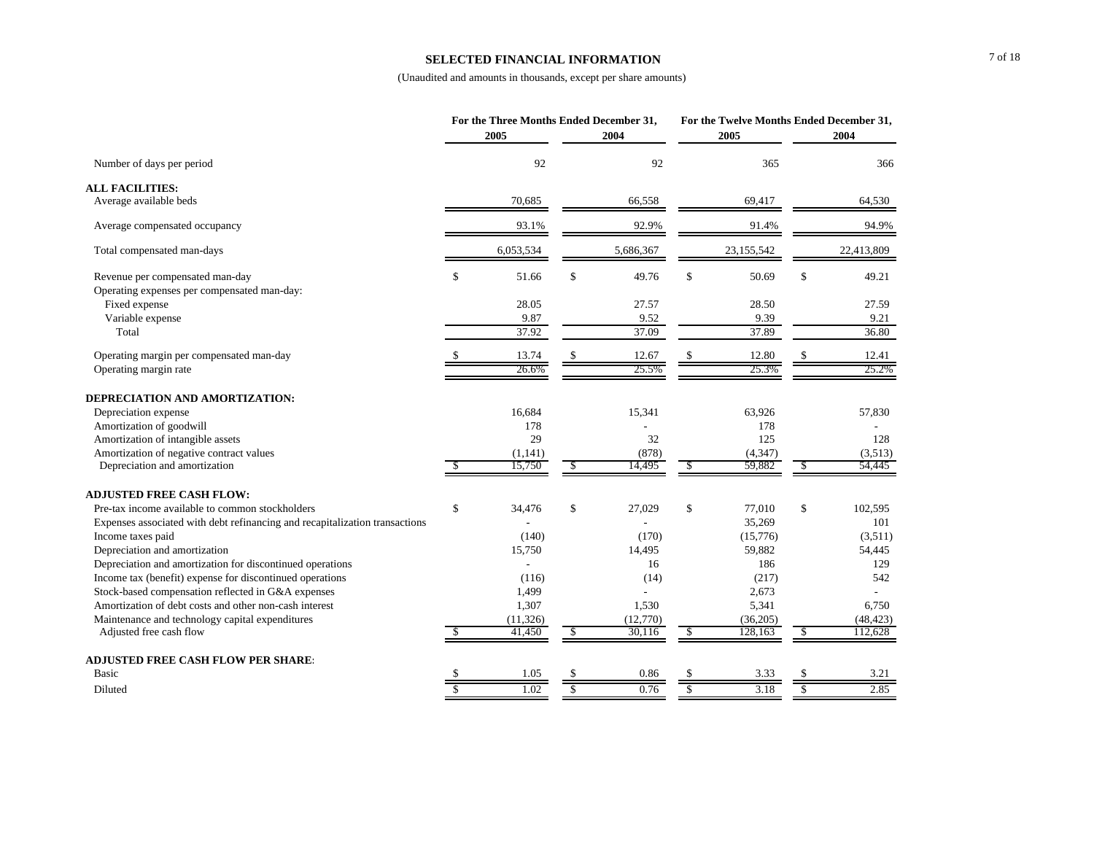#### **SELECTED FINANCIAL INFORMATION**

|                                                                                |                    | For the Three Months Ended December 31,<br>2005 |               | 2004               |               | For the Twelve Months Ended December 31,<br>2005 |               | 2004                 |
|--------------------------------------------------------------------------------|--------------------|-------------------------------------------------|---------------|--------------------|---------------|--------------------------------------------------|---------------|----------------------|
| Number of days per period                                                      |                    | 92                                              |               | 92                 |               | 365                                              |               | 366                  |
| <b>ALL FACILITIES:</b>                                                         |                    |                                                 |               |                    |               |                                                  |               |                      |
| Average available beds                                                         |                    | 70,685                                          |               | 66,558             |               | 69,417                                           |               | 64,530               |
| Average compensated occupancy                                                  |                    | 93.1%                                           |               | 92.9%              |               | 91.4%                                            |               | 94.9%                |
| Total compensated man-days                                                     |                    | 6,053,534                                       |               | 5,686,367          |               | 23,155,542                                       |               | 22,413,809           |
| Revenue per compensated man-day<br>Operating expenses per compensated man-day: | \$                 | 51.66                                           | \$            | 49.76              | \$            | 50.69                                            | \$            | 49.21                |
| Fixed expense                                                                  |                    | 28.05                                           |               | 27.57              |               | 28.50                                            |               | 27.59                |
| Variable expense                                                               |                    | 9.87                                            |               | 9.52               |               | 9.39                                             |               | 9.21                 |
| Total                                                                          |                    | 37.92                                           |               | 37.09              |               | 37.89                                            |               | 36.80                |
| Operating margin per compensated man-day                                       |                    | 13.74                                           |               | 12.67              | \$.           | 12.80                                            | <sup>\$</sup> | 12.41                |
| Operating margin rate                                                          |                    | 26.6%                                           |               | 25.5%              |               | 25.3%                                            |               | 25.2%                |
| DEPRECIATION AND AMORTIZATION:                                                 |                    |                                                 |               |                    |               |                                                  |               |                      |
| Depreciation expense                                                           |                    | 16.684                                          |               | 15,341             |               | 63,926                                           |               | 57,830               |
| Amortization of goodwill                                                       |                    | 178                                             |               |                    |               | 178                                              |               |                      |
| Amortization of intangible assets                                              |                    | 29                                              |               | 32                 |               | 125                                              |               | 128                  |
| Amortization of negative contract values                                       |                    | (1, 141)                                        |               | (878)              |               | (4, 347)                                         |               | (3,513)              |
| Depreciation and amortization                                                  | \$                 | 15,750                                          | \$            | 14,495             | $\mathcal{S}$ | 59,882                                           | $\mathcal{S}$ | 54,445               |
| <b>ADJUSTED FREE CASH FLOW:</b>                                                |                    |                                                 |               |                    |               |                                                  |               |                      |
| Pre-tax income available to common stockholders                                | \$                 | 34,476                                          | \$            | 27,029             | \$            | 77,010                                           | \$            | 102,595              |
| Expenses associated with debt refinancing and recapitalization transactions    |                    |                                                 |               |                    |               | 35,269                                           |               | 101                  |
| Income taxes paid                                                              |                    | (140)                                           |               | (170)              |               | (15,776)                                         |               | (3,511)              |
| Depreciation and amortization                                                  |                    | 15,750                                          |               | 14.495             |               | 59,882                                           |               | 54,445               |
| Depreciation and amortization for discontinued operations                      |                    |                                                 |               | 16                 |               | 186                                              |               | 129                  |
| Income tax (benefit) expense for discontinued operations                       |                    | (116)                                           |               | (14)               |               | (217)                                            |               | 542                  |
| Stock-based compensation reflected in G&A expenses                             |                    | 1,499                                           |               |                    |               | 2,673                                            |               |                      |
| Amortization of debt costs and other non-cash interest                         |                    | 1,307                                           |               | 1,530              |               | 5,341                                            |               | 6,750                |
| Maintenance and technology capital expenditures<br>Adjusted free cash flow     | <sup>\$</sup>      | (11, 326)<br>41,450                             | \$            | (12,770)<br>30,116 | \$            | (36,205)<br>128,163                              | \$            | (48, 423)<br>112,628 |
|                                                                                |                    |                                                 |               |                    |               |                                                  |               |                      |
| <b>ADJUSTED FREE CASH FLOW PER SHARE:</b>                                      |                    |                                                 |               |                    |               |                                                  |               |                      |
| <b>Basic</b>                                                                   |                    | 1.05                                            | <sup>\$</sup> | 0.86               | \$            | 3.33                                             | \$            | 3.21                 |
| Diluted                                                                        | $\mathbf{\hat{S}}$ | 1.02                                            | \$            | 0.76               | \$            | 3.18                                             | \$            | 2.85                 |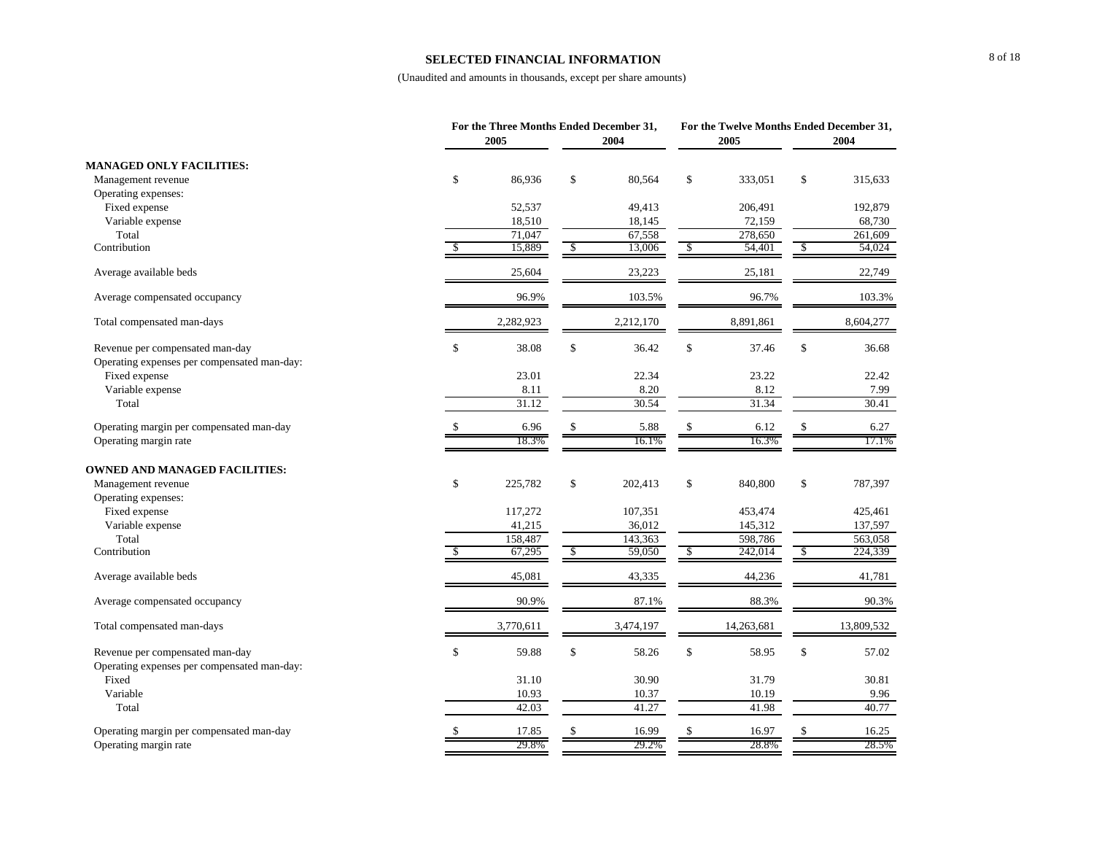#### **SELECTED FINANCIAL INFORMATION**

|                                             | For the Three Months Ended December 31,<br>2005 | 2004          |               | For the Twelve Months Ended December 31,<br>2005 |    | 2004       |
|---------------------------------------------|-------------------------------------------------|---------------|---------------|--------------------------------------------------|----|------------|
| <b>MANAGED ONLY FACILITIES:</b>             |                                                 |               |               |                                                  |    |            |
| Management revenue                          | \$<br>86,936                                    | \$<br>80,564  | $\$$          | 333,051                                          | \$ | 315,633    |
| Operating expenses:                         |                                                 |               |               |                                                  |    |            |
| Fixed expense                               | 52,537                                          | 49,413        |               | 206,491                                          |    | 192,879    |
| Variable expense                            | 18,510                                          | 18,145        |               | 72,159                                           |    | 68,730     |
| Total                                       | 71,047                                          | 67,558        |               | 278,650                                          |    | 261,609    |
| Contribution                                | 15,889                                          | \$<br>13,006  | $\mathcal{S}$ | 54,401                                           | S, | 54,024     |
| Average available beds                      | 25,604                                          | 23,223        |               | 25,181                                           |    | 22,749     |
| Average compensated occupancy               | 96.9%                                           | 103.5%        |               | 96.7%                                            |    | 103.3%     |
| Total compensated man-days                  | 2,282,923                                       | 2,212,170     |               | 8,891,861                                        |    | 8,604,277  |
| Revenue per compensated man-day             | \$<br>38.08                                     | \$<br>36.42   | \$            | 37.46                                            | \$ | 36.68      |
| Operating expenses per compensated man-day: |                                                 |               |               |                                                  |    |            |
| Fixed expense                               | 23.01                                           | 22.34         |               | 23.22                                            |    | 22.42      |
| Variable expense                            | 8.11                                            | 8.20          |               | 8.12                                             |    | 7.99       |
| Total                                       | 31.12                                           | 30.54         |               | 31.34                                            |    | 30.41      |
| Operating margin per compensated man-day    | 6.96                                            | \$<br>5.88    | \$            | 6.12                                             | \$ | 6.27       |
| Operating margin rate                       | 18.3%                                           | 16.1%         |               | 16.3%                                            |    | 17.1%      |
| <b>OWNED AND MANAGED FACILITIES:</b>        |                                                 |               |               |                                                  |    |            |
| Management revenue                          | \$<br>225,782                                   | \$<br>202,413 | $\$$          | 840,800                                          | \$ | 787,397    |
| Operating expenses:                         |                                                 |               |               |                                                  |    |            |
| Fixed expense                               | 117,272                                         | 107,351       |               | 453,474                                          |    | 425,461    |
| Variable expense                            | 41,215                                          | 36,012        |               | 145,312                                          |    | 137,597    |
| Total                                       | 158,487                                         | 143,363       |               | 598,786                                          |    | 563,058    |
| Contribution                                | 67,295                                          | \$<br>59,050  | \$            | 242,014                                          | \$ | 224,339    |
| Average available beds                      | 45,081                                          | 43,335        |               | 44,236                                           |    | 41,781     |
| Average compensated occupancy               | 90.9%                                           | 87.1%         |               | 88.3%                                            |    | 90.3%      |
| Total compensated man-days                  | 3,770,611                                       | 3,474,197     |               | 14,263,681                                       |    | 13,809,532 |
| Revenue per compensated man-day             | \$<br>59.88                                     | \$<br>58.26   | \$            | 58.95                                            | \$ | 57.02      |
| Operating expenses per compensated man-day: |                                                 |               |               |                                                  |    |            |
| Fixed                                       | 31.10                                           | 30.90         |               | 31.79                                            |    | 30.81      |
| Variable                                    | 10.93                                           | 10.37         |               | 10.19                                            |    | 9.96       |
| Total                                       | 42.03                                           | 41.27         |               | 41.98                                            |    | 40.77      |
| Operating margin per compensated man-day    | 17.85                                           | 16.99         |               | 16.97                                            |    | 16.25      |
| Operating margin rate                       | 29.8%                                           | 29.2%         |               | 28.8%                                            |    | 28.5%      |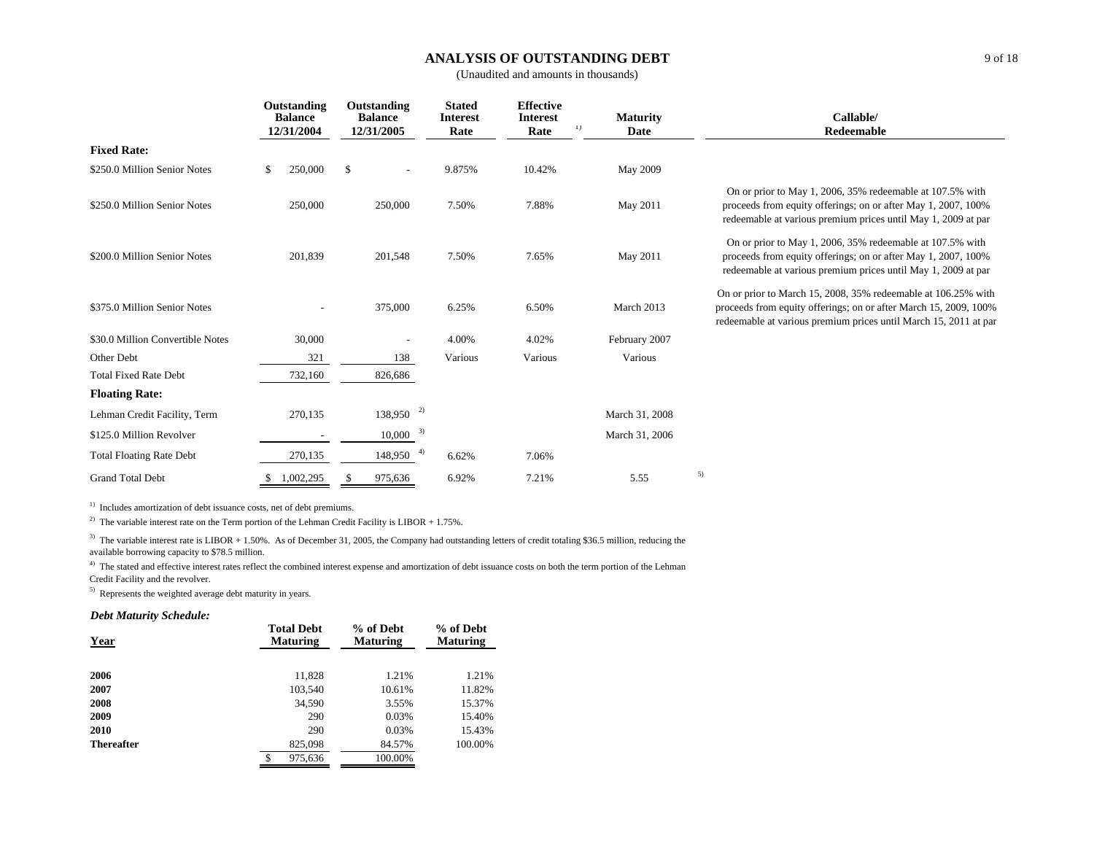## **ANALYSIS OF OUTSTANDING DEBT**

(Unaudited and amounts in thousands)

|                                  |    | Outstanding<br><b>Balance</b><br>12/31/2004 |   |                         |         |         |                |                                                                                                                                                                                                       |  |  |  |  |  |  |  | Outstanding<br><b>Balance</b><br>12/31/2005 | <b>Stated</b><br><b>Interest</b><br>Rate | <b>Effective</b><br><b>Interest</b><br>1)<br>Rate | <b>Maturity</b><br>Date | Callable/<br><b>Redeemable</b> |
|----------------------------------|----|---------------------------------------------|---|-------------------------|---------|---------|----------------|-------------------------------------------------------------------------------------------------------------------------------------------------------------------------------------------------------|--|--|--|--|--|--|--|---------------------------------------------|------------------------------------------|---------------------------------------------------|-------------------------|--------------------------------|
| <b>Fixed Rate:</b>               |    |                                             |   |                         |         |         |                |                                                                                                                                                                                                       |  |  |  |  |  |  |  |                                             |                                          |                                                   |                         |                                |
| \$250.0 Million Senior Notes     | \$ | 250,000                                     | S |                         | 9.875%  | 10.42%  | May 2009       |                                                                                                                                                                                                       |  |  |  |  |  |  |  |                                             |                                          |                                                   |                         |                                |
| \$250.0 Million Senior Notes     |    | 250,000                                     |   | 250,000                 | 7.50%   | 7.88%   | May 2011       | On or prior to May 1, 2006, 35% redeemable at 107.5% with<br>proceeds from equity offerings; on or after May 1, 2007, 100%<br>redeemable at various premium prices until May 1, 2009 at par           |  |  |  |  |  |  |  |                                             |                                          |                                                   |                         |                                |
| \$200.0 Million Senior Notes     |    | 201,839                                     |   | 201,548                 | 7.50%   | 7.65%   | May 2011       | On or prior to May 1, 2006, 35% redeemable at 107.5% with<br>proceeds from equity offerings; on or after May 1, 2007, 100%<br>redeemable at various premium prices until May 1, 2009 at par           |  |  |  |  |  |  |  |                                             |                                          |                                                   |                         |                                |
| \$375.0 Million Senior Notes     |    |                                             |   | 375,000                 | 6.25%   | 6.50%   | March 2013     | On or prior to March 15, 2008, 35% redeemable at 106.25% with<br>proceeds from equity offerings; on or after March 15, 2009, 100%<br>redeemable at various premium prices until March 15, 2011 at par |  |  |  |  |  |  |  |                                             |                                          |                                                   |                         |                                |
| \$30.0 Million Convertible Notes |    | 30,000                                      |   |                         | 4.00%   | 4.02%   | February 2007  |                                                                                                                                                                                                       |  |  |  |  |  |  |  |                                             |                                          |                                                   |                         |                                |
| Other Debt                       |    | 321                                         |   | 138                     | Various | Various | Various        |                                                                                                                                                                                                       |  |  |  |  |  |  |  |                                             |                                          |                                                   |                         |                                |
| <b>Total Fixed Rate Debt</b>     |    | 732,160                                     |   | 826,686                 |         |         |                |                                                                                                                                                                                                       |  |  |  |  |  |  |  |                                             |                                          |                                                   |                         |                                |
| <b>Floating Rate:</b>            |    |                                             |   |                         |         |         |                |                                                                                                                                                                                                       |  |  |  |  |  |  |  |                                             |                                          |                                                   |                         |                                |
| Lehman Credit Facility, Term     |    | 270,135                                     |   | $138,950$ <sup>2)</sup> |         |         | March 31, 2008 |                                                                                                                                                                                                       |  |  |  |  |  |  |  |                                             |                                          |                                                   |                         |                                |
| \$125.0 Million Revolver         |    |                                             |   | 3)<br>10,000            |         |         | March 31, 2006 |                                                                                                                                                                                                       |  |  |  |  |  |  |  |                                             |                                          |                                                   |                         |                                |
| <b>Total Floating Rate Debt</b>  |    | 270,135                                     |   | -4)<br>148,950          | 6.62%   | 7.06%   |                |                                                                                                                                                                                                       |  |  |  |  |  |  |  |                                             |                                          |                                                   |                         |                                |
| <b>Grand Total Debt</b>          |    | 1,002,295                                   |   | 975,636                 | 6.92%   | 7.21%   | 5.55           | 5)                                                                                                                                                                                                    |  |  |  |  |  |  |  |                                             |                                          |                                                   |                         |                                |

<sup>1)</sup> Includes amortization of debt issuance costs, net of debt premiums.

<sup>2)</sup> The variable interest rate on the Term portion of the Lehman Credit Facility is LIBOR + 1.75%.

<sup>3)</sup> The variable interest rate is LIBOR + 1.50%. As of December 31, 2005, the Company had outstanding letters of credit totaling \$36.5 million, reducing the available borrowing capacity to \$78.5 million.

<sup>4)</sup> The stated and effective interest rates reflect the combined interest expense and amortization of debt issuance costs on both the term portion of the Lehman Credit Facility and the revolver.

5) Represents the weighted average debt maturity in years.

#### *Debt Maturity Schedule:*

| <b>Year</b>       | <b>Total Debt</b><br><b>Maturing</b> | % of Debt<br><b>Maturing</b> | % of Debt<br><b>Maturing</b> |
|-------------------|--------------------------------------|------------------------------|------------------------------|
| 2006              | 11,828                               | 1.21%                        | 1.21%                        |
| 2007              | 103,540                              | 10.61%                       | 11.82%                       |
| 2008              | 34.590                               | 3.55%                        | 15.37%                       |
| 2009              | 290                                  | 0.03%                        | 15.40%                       |
| 2010              | 290                                  | 0.03%                        | 15.43%                       |
| <b>Thereafter</b> | 825,098                              | 84.57%                       | 100.00%                      |
|                   | \$<br>975,636                        | 100.00%                      |                              |
|                   |                                      |                              |                              |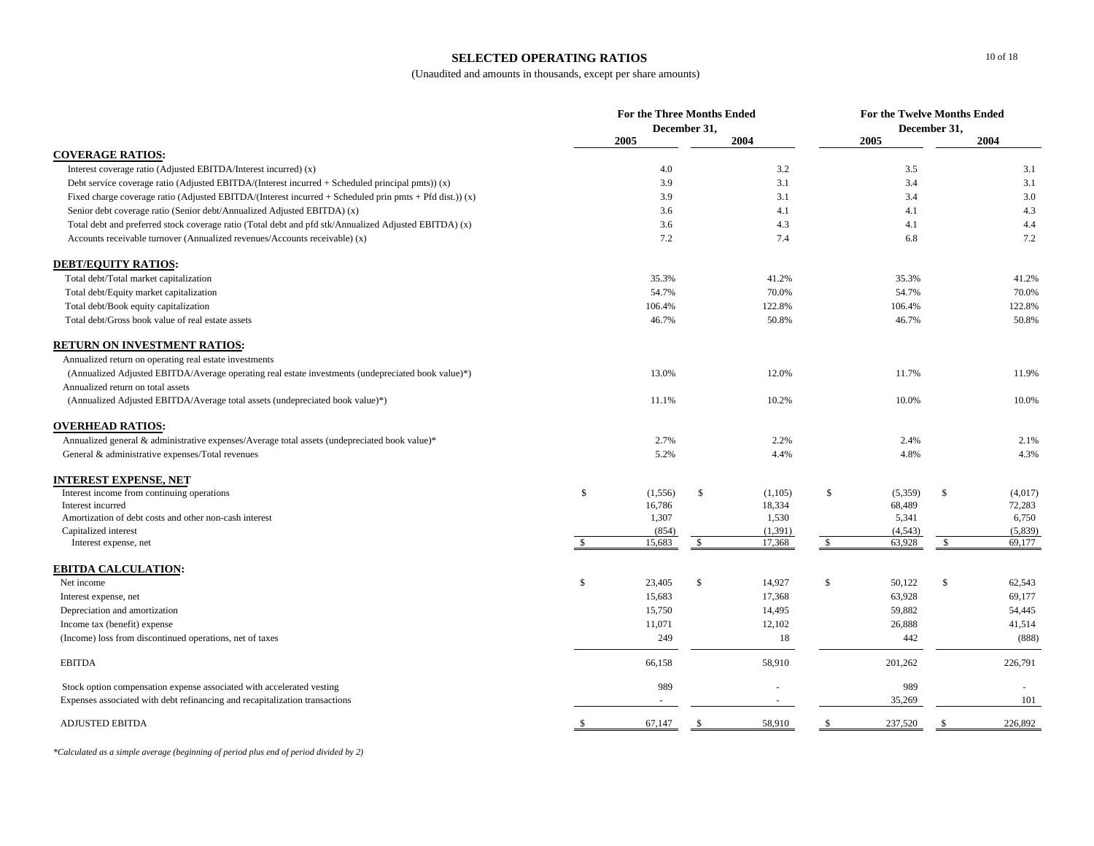#### **SELECTED OPERATING RATIOS**

(Unaudited and amounts in thousands, except per share amounts)

|                                                                                                             |              | <b>For the Three Months Ended</b><br>December 31, |              |         |               |         | For the Twelve Months Ended<br>December 31, |         |  |  |
|-------------------------------------------------------------------------------------------------------------|--------------|---------------------------------------------------|--------------|---------|---------------|---------|---------------------------------------------|---------|--|--|
|                                                                                                             |              | 2005                                              |              | 2004    |               | 2005    |                                             | 2004    |  |  |
| <b>COVERAGE RATIOS:</b>                                                                                     |              |                                                   |              |         |               |         |                                             |         |  |  |
| Interest coverage ratio (Adjusted EBITDA/Interest incurred) (x)                                             |              | 4.0                                               |              | 3.2     |               | 3.5     |                                             | 3.1     |  |  |
| Debt service coverage ratio (Adjusted EBITDA/(Interest incurred $+$ Scheduled principal pmts)) (x)          |              | 3.9                                               |              | 3.1     |               | 3.4     |                                             | 3.1     |  |  |
| Fixed charge coverage ratio (Adjusted EBITDA/(Interest incurred $+$ Scheduled prin pmts $+$ Pfd dist.)) (x) |              | 3.9                                               |              | 3.1     |               | 3.4     |                                             | 3.0     |  |  |
| Senior debt coverage ratio (Senior debt/Annualized Adjusted EBITDA) (x)                                     |              | 3.6                                               |              | 4.1     |               | 4.1     |                                             | 4.3     |  |  |
| Total debt and preferred stock coverage ratio (Total debt and pfd stk/Annualized Adjusted EBITDA) (x)       |              | 3.6                                               |              | 4.3     |               | 4.1     |                                             | 4.4     |  |  |
| Accounts receivable turnover (Annualized revenues/Accounts receivable) (x)                                  |              | 7.2                                               |              | 7.4     |               | 6.8     |                                             | 7.2     |  |  |
| <b>DEBT/EQUITY RATIOS:</b>                                                                                  |              |                                                   |              |         |               |         |                                             |         |  |  |
| Total debt/Total market capitalization                                                                      |              | 35.3%                                             |              | 41.2%   |               | 35.3%   |                                             | 41.2%   |  |  |
| Total debt/Equity market capitalization                                                                     |              | 54.7%                                             |              | 70.0%   |               | 54.7%   |                                             | 70.0%   |  |  |
| Total debt/Book equity capitalization                                                                       |              | 106.4%                                            |              | 122.8%  |               | 106.4%  |                                             | 122.8%  |  |  |
| Total debt/Gross book value of real estate assets                                                           |              | 46.7%                                             |              | 50.8%   |               | 46.7%   |                                             | 50.8%   |  |  |
| RETURN ON INVESTMENT RATIOS:                                                                                |              |                                                   |              |         |               |         |                                             |         |  |  |
| Annualized return on operating real estate investments                                                      |              |                                                   |              |         |               |         |                                             |         |  |  |
| (Annualized Adjusted EBITDA/Average operating real estate investments (undepreciated book value)*)          |              | 13.0%                                             |              | 12.0%   |               | 11.7%   |                                             | 11.9%   |  |  |
| Annualized return on total assets                                                                           |              |                                                   |              |         |               |         |                                             |         |  |  |
| (Annualized Adjusted EBITDA/Average total assets (undepreciated book value)*)                               |              | 11.1%                                             |              | 10.2%   |               | 10.0%   |                                             | 10.0%   |  |  |
| <b>OVERHEAD RATIOS:</b>                                                                                     |              |                                                   |              |         |               |         |                                             |         |  |  |
| Annualized general & administrative expenses/Average total assets (undepreciated book value)*               |              | 2.7%                                              |              | 2.2%    |               | 2.4%    |                                             | 2.1%    |  |  |
| General & administrative expenses/Total revenues                                                            |              | 5.2%                                              |              | 4.4%    |               | 4.8%    |                                             | 4.3%    |  |  |
| INTEREST EXPENSE, NET                                                                                       |              |                                                   |              |         |               |         |                                             |         |  |  |
| Interest income from continuing operations                                                                  | \$           | (1,556)                                           | \$           | (1,105) | \$            | (5,359) | \$                                          | (4,017) |  |  |
| Interest incurred                                                                                           |              | 16,786                                            |              | 18,334  |               | 68,489  |                                             | 72,283  |  |  |
| Amortization of debt costs and other non-cash interest                                                      |              | 1,307                                             |              | 1,530   |               | 5,341   |                                             | 6,750   |  |  |
| Capitalized interest                                                                                        |              | (854)                                             |              | (1,391) |               | (4,543) |                                             | (5,839) |  |  |
| Interest expense, net                                                                                       | $\mathbb{S}$ | 15,683                                            | \$           | 17,368  | $\mathcal{S}$ | 63,928  | $\mathcal{S}$                               | 69,177  |  |  |
| <b>EBITDA CALCULATION:</b>                                                                                  |              |                                                   |              |         |               |         |                                             |         |  |  |
| Net income                                                                                                  | \$           | 23,405                                            | $\mathbb{S}$ | 14,927  | \$            | 50,122  | $\mathbb{S}$                                | 62,543  |  |  |
| Interest expense, net                                                                                       |              | 15,683                                            |              | 17,368  |               | 63,928  |                                             | 69,177  |  |  |
| Depreciation and amortization                                                                               |              | 15,750                                            |              | 14,495  |               | 59,882  |                                             | 54,445  |  |  |
| Income tax (benefit) expense                                                                                |              | 11,071                                            |              | 12,102  |               | 26,888  |                                             | 41,514  |  |  |
| (Income) loss from discontinued operations, net of taxes                                                    |              | 249                                               |              | 18      |               | 442     |                                             | (888)   |  |  |
| <b>EBITDA</b>                                                                                               |              | 66,158                                            |              | 58,910  |               | 201,262 |                                             | 226,791 |  |  |
| Stock option compensation expense associated with accelerated vesting                                       |              | 989                                               |              |         |               | 989     |                                             |         |  |  |
| Expenses associated with debt refinancing and recapitalization transactions                                 |              |                                                   |              |         |               | 35,269  |                                             | 101     |  |  |
| <b>ADJUSTED EBITDA</b>                                                                                      | -S           | 67,147                                            | -S           | 58,910  | -S            | 237,520 | -S                                          | 226,892 |  |  |

*\*Calculated as a simple average (beginning of period plus end of period divided by 2)*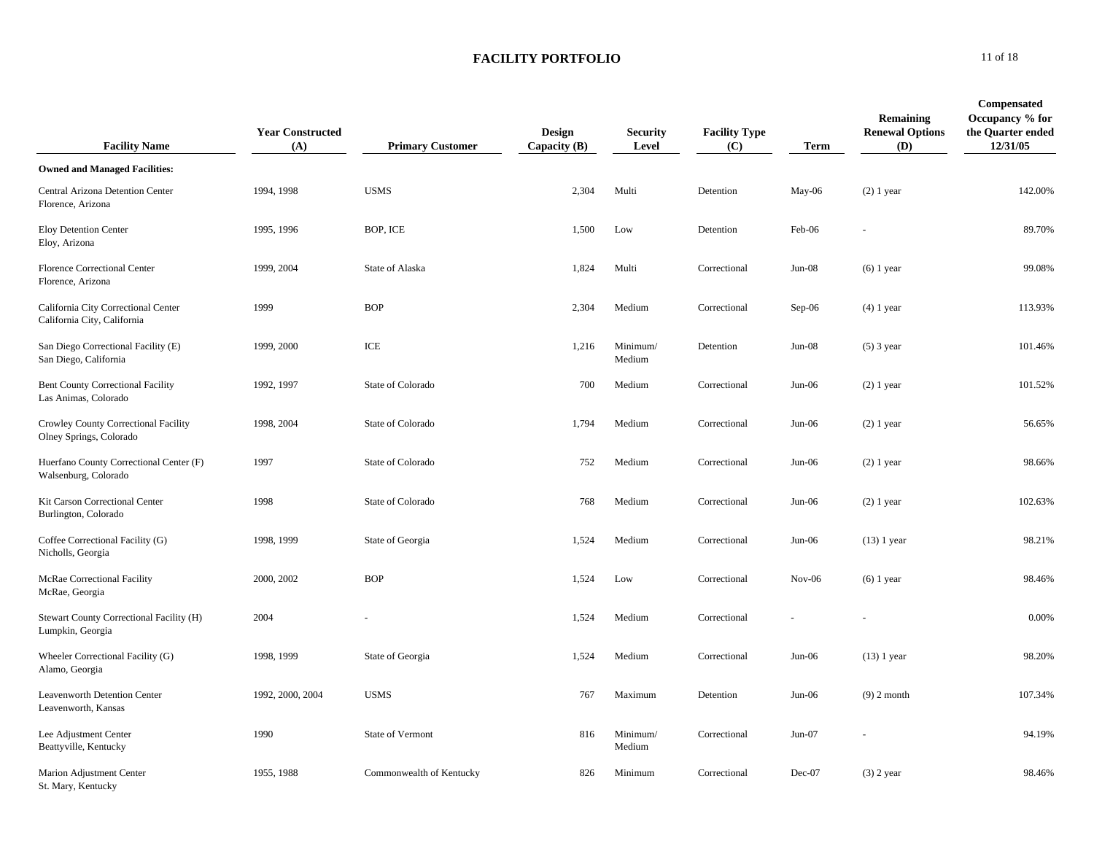| <b>Facility Name</b>                                               | <b>Year Constructed</b><br>(A) | <b>Primary Customer</b>  | <b>Design</b><br>Capacity (B) | <b>Security</b><br>Level | <b>Facility Type</b><br>(C) | <b>Term</b> | Remaining<br><b>Renewal Options</b><br><b>(D)</b> | <b>Compensated</b><br>Occupancy % for<br>the Quarter ended<br>12/31/05 |
|--------------------------------------------------------------------|--------------------------------|--------------------------|-------------------------------|--------------------------|-----------------------------|-------------|---------------------------------------------------|------------------------------------------------------------------------|
| <b>Owned and Managed Facilities:</b>                               |                                |                          |                               |                          |                             |             |                                                   |                                                                        |
| Central Arizona Detention Center<br>Florence, Arizona              | 1994, 1998                     | <b>USMS</b>              | 2,304                         | Multi                    | Detention                   | $May-06$    | $(2)$ 1 year                                      | 142.00%                                                                |
| Eloy Detention Center<br>Eloy, Arizona                             | 1995, 1996                     | BOP, ICE                 | 1,500                         | Low                      | Detention                   | Feb-06      |                                                   | 89.70%                                                                 |
| Florence Correctional Center<br>Florence, Arizona                  | 1999, 2004                     | State of Alaska          | 1,824                         | Multi                    | Correctional                | $Jun-08$    | $(6)$ 1 year                                      | 99.08%                                                                 |
| California City Correctional Center<br>California City, California | 1999                           | <b>BOP</b>               | 2,304                         | Medium                   | Correctional                | Sep-06      | $(4)$ 1 year                                      | 113.93%                                                                |
| San Diego Correctional Facility (E)<br>San Diego, California       | 1999, 2000                     | ICE                      | 1,216                         | Minimum/<br>Medium       | Detention                   | $Jun-08$    | $(5)$ 3 year                                      | 101.46%                                                                |
| <b>Bent County Correctional Facility</b><br>Las Animas, Colorado   | 1992, 1997                     | State of Colorado        | 700                           | Medium                   | Correctional                | $Jun-06$    | $(2)$ 1 year                                      | 101.52%                                                                |
| Crowley County Correctional Facility<br>Olney Springs, Colorado    | 1998, 2004                     | State of Colorado        | 1,794                         | Medium                   | Correctional                | $Jun-06$    | $(2) 1$ year                                      | 56.65%                                                                 |
| Huerfano County Correctional Center (F)<br>Walsenburg, Colorado    | 1997                           | State of Colorado        | 752                           | Medium                   | Correctional                | $Jun-06$    | $(2)$ 1 year                                      | 98.66%                                                                 |
| Kit Carson Correctional Center<br>Burlington, Colorado             | 1998                           | State of Colorado        | 768                           | Medium                   | Correctional                | $Jun-06$    | $(2)$ 1 year                                      | 102.63%                                                                |
| Coffee Correctional Facility (G)<br>Nicholls, Georgia              | 1998, 1999                     | State of Georgia         | 1,524                         | Medium                   | Correctional                | $Jun-06$    | $(13)$ 1 year                                     | 98.21%                                                                 |
| McRae Correctional Facility<br>McRae, Georgia                      | 2000, 2002                     | <b>BOP</b>               | 1,524                         | Low                      | Correctional                | $Nov-06$    | $(6)$ 1 year                                      | 98.46%                                                                 |
| Stewart County Correctional Facility (H)<br>Lumpkin, Georgia       | 2004                           |                          | 1,524                         | Medium                   | Correctional                |             |                                                   | 0.00%                                                                  |
| Wheeler Correctional Facility (G)<br>Alamo, Georgia                | 1998, 1999                     | State of Georgia         | 1,524                         | Medium                   | Correctional                | $Jun-06$    | $(13)$ 1 year                                     | 98.20%                                                                 |
| Leavenworth Detention Center<br>Leavenworth, Kansas                | 1992, 2000, 2004               | <b>USMS</b>              | 767                           | Maximum                  | Detention                   | $Jun-06$    | $(9)$ 2 month                                     | 107.34%                                                                |
| Lee Adjustment Center<br>Beattyville, Kentucky                     | 1990                           | State of Vermont         | 816                           | Minimum/<br>Medium       | Correctional                | $Jun-07$    |                                                   | 94.19%                                                                 |
| Marion Adjustment Center<br>St. Mary, Kentucky                     | 1955, 1988                     | Commonwealth of Kentucky | 826                           | Minimum                  | Correctional                | Dec-07      | $(3)$ 2 year                                      | 98.46%                                                                 |

**0** 11 of 18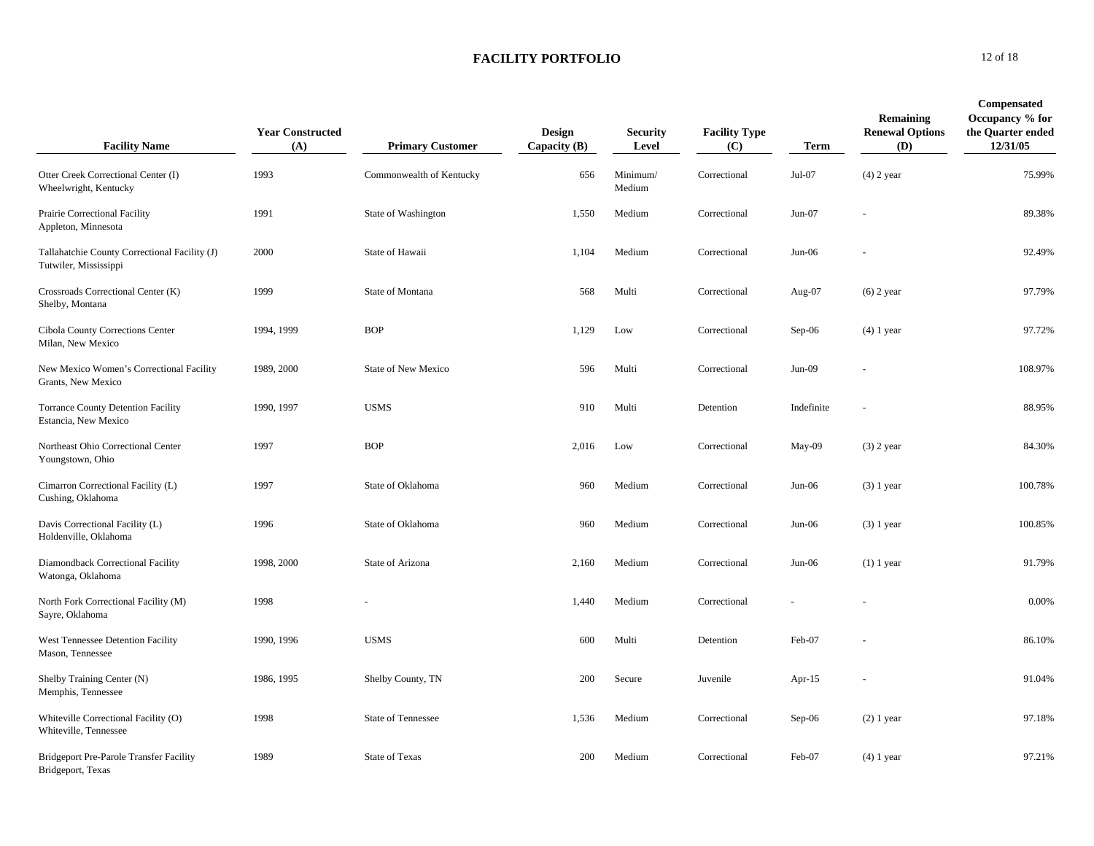| <b>Facility Name</b>                                                   | <b>Year Constructed</b><br>(A) | <b>Primary Customer</b>    | <b>Design</b><br>Capacity $(B)$ | <b>Security</b><br>Level | <b>Facility Type</b><br>(C) | Term       | Remaining<br><b>Renewal Options</b><br>(D) | Compensated<br>Occupancy % for<br>the Quarter ended<br>12/31/05 |
|------------------------------------------------------------------------|--------------------------------|----------------------------|---------------------------------|--------------------------|-----------------------------|------------|--------------------------------------------|-----------------------------------------------------------------|
| Otter Creek Correctional Center (I)<br>Wheelwright, Kentucky           | 1993                           | Commonwealth of Kentucky   | 656                             | Minimum/<br>Medium       | Correctional                | Jul-07     | $(4)$ 2 year                               | 75.99%                                                          |
| Prairie Correctional Facility<br>Appleton, Minnesota                   | 1991                           | State of Washington        | 1,550                           | Medium                   | Correctional                | $Jun-07$   |                                            | 89.38%                                                          |
| Tallahatchie County Correctional Facility (J)<br>Tutwiler, Mississippi | 2000                           | State of Hawaii            | 1,104                           | Medium                   | Correctional                | $Jun-06$   |                                            | 92.49%                                                          |
| Crossroads Correctional Center (K)<br>Shelby, Montana                  | 1999                           | State of Montana           | 568                             | Multi                    | Correctional                | Aug-07     | $(6)$ 2 year                               | 97.79%                                                          |
| Cibola County Corrections Center<br>Milan, New Mexico                  | 1994, 1999                     | <b>BOP</b>                 | 1,129                           | Low                      | Correctional                | $Sep-06$   | $(4)$ 1 year                               | 97.72%                                                          |
| New Mexico Women's Correctional Facility<br>Grants, New Mexico         | 1989, 2000                     | <b>State of New Mexico</b> | 596                             | Multi                    | Correctional                | $Jun-09$   |                                            | 108.97%                                                         |
| Torrance County Detention Facility<br>Estancia, New Mexico             | 1990, 1997                     | <b>USMS</b>                | 910                             | Multi                    | Detention                   | Indefinite |                                            | 88.95%                                                          |
| Northeast Ohio Correctional Center<br>Youngstown, Ohio                 | 1997                           | <b>BOP</b>                 | 2,016                           | Low                      | Correctional                | May-09     | $(3)$ 2 year                               | 84.30%                                                          |
| Cimarron Correctional Facility (L)<br>Cushing, Oklahoma                | 1997                           | State of Oklahoma          | 960                             | Medium                   | Correctional                | $Jun-06$   | $(3)$ 1 year                               | 100.78%                                                         |
| Davis Correctional Facility (L)<br>Holdenville, Oklahoma               | 1996                           | State of Oklahoma          | 960                             | Medium                   | Correctional                | Jun-06     | $(3)$ 1 year                               | 100.85%                                                         |
| Diamondback Correctional Facility<br>Watonga, Oklahoma                 | 1998, 2000                     | State of Arizona           | 2,160                           | Medium                   | Correctional                | $Jun-06$   | $(1)$ 1 year                               | 91.79%                                                          |
| North Fork Correctional Facility (M)<br>Sayre, Oklahoma                | 1998                           |                            | 1,440                           | Medium                   | Correctional                |            |                                            | 0.00%                                                           |
| West Tennessee Detention Facility<br>Mason, Tennessee                  | 1990, 1996                     | <b>USMS</b>                | 600                             | Multi                    | Detention                   | Feb-07     |                                            | 86.10%                                                          |
| Shelby Training Center (N)<br>Memphis, Tennessee                       | 1986, 1995                     | Shelby County, TN          | 200                             | Secure                   | Juvenile                    | Apr- $15$  |                                            | 91.04%                                                          |
| Whiteville Correctional Facility (O)<br>Whiteville, Tennessee          | 1998                           | State of Tennessee         | 1,536                           | Medium                   | Correctional                | $Sep-06$   | $(2)$ 1 year                               | 97.18%                                                          |
| <b>Bridgeport Pre-Parole Transfer Facility</b><br>Bridgeport, Texas    | 1989                           | <b>State of Texas</b>      | 200                             | Medium                   | Correctional                | Feb-07     | $(4)$ 1 year                               | 97.21%                                                          |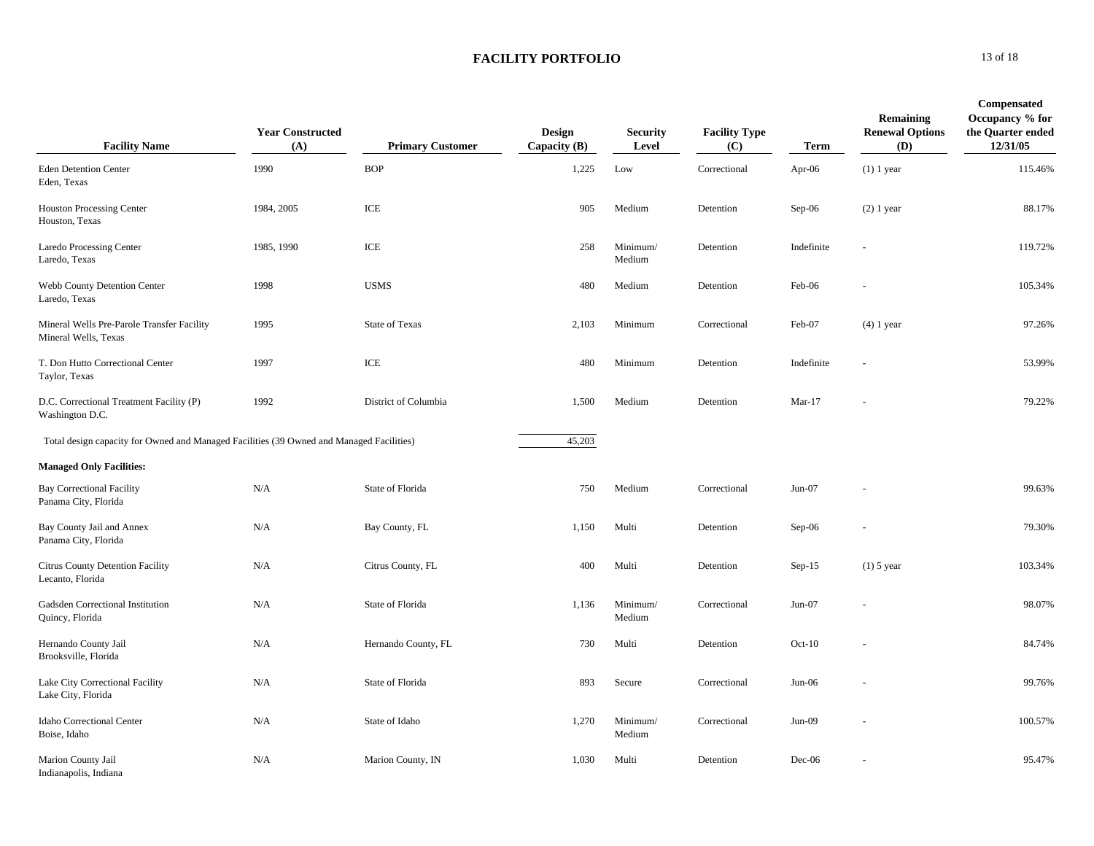| <b>Facility Name</b>                                                                     | <b>Year Constructed</b><br>(A) | <b>Primary Customer</b> | <b>Design</b><br>Capacity (B) | <b>Security</b><br>Level | <b>Facility Type</b><br>(C) | <b>Term</b> | Remaining<br><b>Renewal Options</b><br>(D) | <b>Compensated</b><br>Occupancy % for<br>the Quarter ended<br>12/31/05 |
|------------------------------------------------------------------------------------------|--------------------------------|-------------------------|-------------------------------|--------------------------|-----------------------------|-------------|--------------------------------------------|------------------------------------------------------------------------|
| <b>Eden Detention Center</b><br>Eden, Texas                                              | 1990                           | <b>BOP</b>              | 1,225                         | Low                      | Correctional                | Apr- $06$   | $(1)$ 1 year                               | 115.46%                                                                |
| <b>Houston Processing Center</b><br>Houston, Texas                                       | 1984, 2005                     | ICE                     | 905                           | Medium                   | Detention                   | $Sep-06$    | $(2)$ 1 year                               | 88.17%                                                                 |
| <b>Laredo Processing Center</b><br>Laredo, Texas                                         | 1985, 1990                     | ICE                     | 258                           | Minimum/<br>Medium       | Detention                   | Indefinite  |                                            | 119.72%                                                                |
| Webb County Detention Center<br>Laredo, Texas                                            | 1998                           | <b>USMS</b>             | 480                           | Medium                   | Detention                   | Feb-06      |                                            | 105.34%                                                                |
| Mineral Wells Pre-Parole Transfer Facility<br>Mineral Wells, Texas                       | 1995                           | State of Texas          | 2,103                         | Minimum                  | Correctional                | Feb-07      | $(4)$ 1 year                               | 97.26%                                                                 |
| T. Don Hutto Correctional Center<br>Taylor, Texas                                        | 1997                           | ICE                     | 480                           | Minimum                  | Detention                   | Indefinite  |                                            | 53.99%                                                                 |
| D.C. Correctional Treatment Facility (P)<br>Washington D.C.                              | 1992                           | District of Columbia    | 1,500                         | Medium                   | Detention                   | $Mar-17$    |                                            | 79.22%                                                                 |
| Total design capacity for Owned and Managed Facilities (39 Owned and Managed Facilities) |                                |                         | 45,203                        |                          |                             |             |                                            |                                                                        |
| <b>Managed Only Facilities:</b>                                                          |                                |                         |                               |                          |                             |             |                                            |                                                                        |
| <b>Bay Correctional Facility</b><br>Panama City, Florida                                 | N/A                            | State of Florida        | 750                           | Medium                   | Correctional                | $Jun-07$    |                                            | 99.63%                                                                 |
| Bay County Jail and Annex<br>Panama City, Florida                                        | N/A                            | Bay County, FL          | 1,150                         | Multi                    | Detention                   | $Sep-06$    |                                            | 79.30%                                                                 |
| <b>Citrus County Detention Facility</b><br>Lecanto, Florida                              | N/A                            | Citrus County, FL       | 400                           | Multi                    | Detention                   | $Sep-15$    | $(1)$ 5 year                               | 103.34%                                                                |
| Gadsden Correctional Institution<br>Quincy, Florida                                      | N/A                            | State of Florida        | 1,136                         | Minimum/<br>Medium       | Correctional                | $Jun-07$    |                                            | 98.07%                                                                 |
| Hernando County Jail<br>Brooksville, Florida                                             | N/A                            | Hernando County, FL     | 730                           | Multi                    | Detention                   | $Oct-10$    |                                            | 84.74%                                                                 |
| Lake City Correctional Facility<br>Lake City, Florida                                    | N/A                            | State of Florida        | 893                           | Secure                   | Correctional                | $Jun-06$    |                                            | 99.76%                                                                 |
| Idaho Correctional Center<br>Boise, Idaho                                                | N/A                            | State of Idaho          | 1,270                         | Minimum/<br>Medium       | Correctional                | Jun-09      |                                            | 100.57%                                                                |
| Marion County Jail<br>Indianapolis, Indiana                                              | N/A                            | Marion County, IN       | 1,030                         | Multi                    | Detention                   | $Dec-06$    |                                            | 95.47%                                                                 |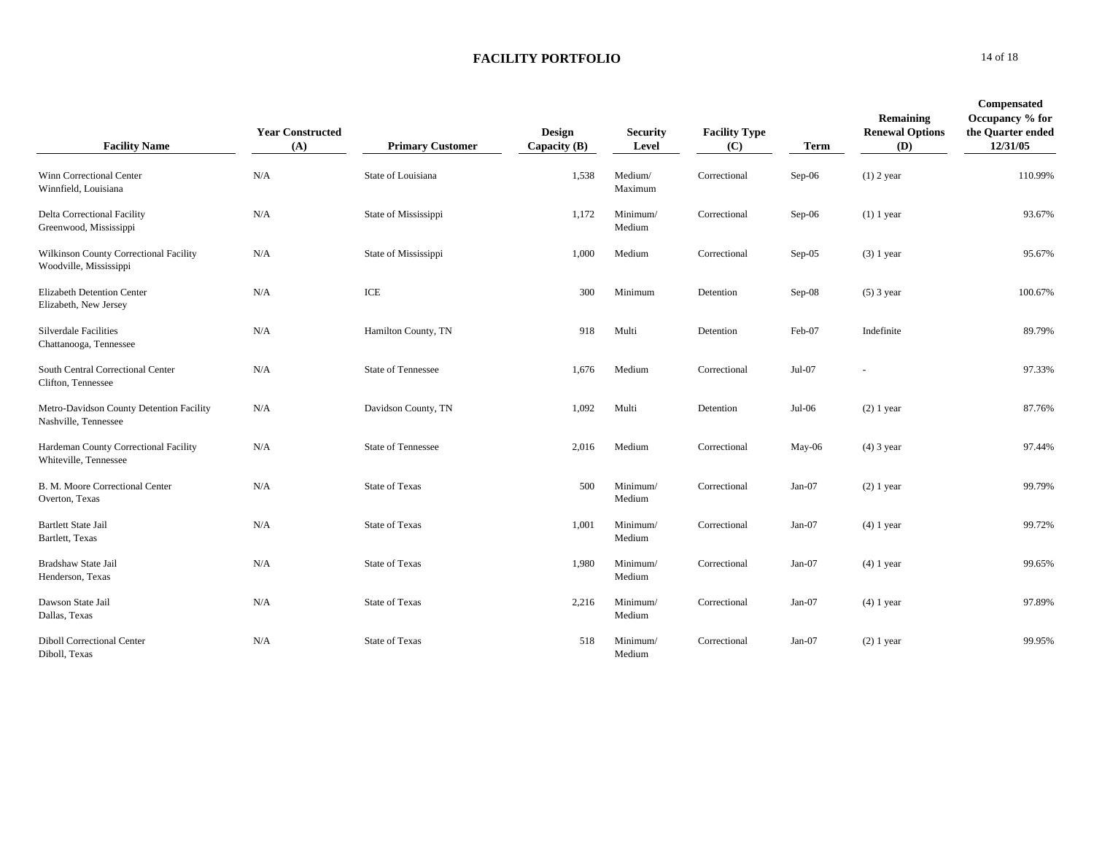| <b>Facility Name</b>                                             | <b>Year Constructed</b><br>(A) | <b>Primary Customer</b>   | <b>Design</b><br>Capacity $(B)$ | <b>Security</b><br>Level | <b>Facility Type</b><br>(C) | <b>Term</b> | Remaining<br><b>Renewal Options</b><br>(D) | <b>Compensated</b><br>Occupancy % for<br>the Quarter ended<br>12/31/05 |
|------------------------------------------------------------------|--------------------------------|---------------------------|---------------------------------|--------------------------|-----------------------------|-------------|--------------------------------------------|------------------------------------------------------------------------|
| Winn Correctional Center<br>Winnfield, Louisiana                 | N/A                            | State of Louisiana        | 1,538                           | Medium/<br>Maximum       | Correctional                | Sep-06      | $(1)$ 2 year                               | 110.99%                                                                |
| <b>Delta Correctional Facility</b><br>Greenwood, Mississippi     | N/A                            | State of Mississippi      | 1,172                           | Minimum/<br>Medium       | Correctional                | Sep-06      | $(1)$ 1 year                               | 93.67%                                                                 |
| Wilkinson County Correctional Facility<br>Woodville, Mississippi | N/A                            | State of Mississippi      | 1,000                           | Medium                   | Correctional                | $Sep-05$    | $(3)$ 1 year                               | 95.67%                                                                 |
| Elizabeth Detention Center<br>Elizabeth, New Jersey              | N/A                            | ICE                       | 300                             | Minimum                  | Detention                   | $Sep-08$    | $(5)$ 3 year                               | 100.67%                                                                |
| <b>Silverdale Facilities</b><br>Chattanooga, Tennessee           | N/A                            | Hamilton County, TN       | 918                             | Multi                    | Detention                   | Feb-07      | Indefinite                                 | 89.79%                                                                 |
| South Central Correctional Center<br>Clifton, Tennessee          | N/A                            | <b>State of Tennessee</b> | 1,676                           | Medium                   | Correctional                | Jul-07      |                                            | 97.33%                                                                 |
| Metro-Davidson County Detention Facility<br>Nashville, Tennessee | N/A                            | Davidson County, TN       | 1,092                           | Multi                    | Detention                   | Jul-06      | $(2)$ 1 year                               | 87.76%                                                                 |
| Hardeman County Correctional Facility<br>Whiteville, Tennessee   | N/A                            | <b>State of Tennessee</b> | 2,016                           | Medium                   | Correctional                | May-06      | $(4)$ 3 year                               | 97.44%                                                                 |
| B. M. Moore Correctional Center<br>Overton, Texas                | N/A                            | <b>State of Texas</b>     | 500                             | Minimum/<br>Medium       | Correctional                | $Jan-07$    | $(2)$ 1 year                               | 99.79%                                                                 |
| <b>Bartlett State Jail</b><br>Bartlett, Texas                    | N/A                            | <b>State of Texas</b>     | 1,001                           | Minimum/<br>Medium       | Correctional                | $Jan-07$    | $(4)$ 1 year                               | 99.72%                                                                 |
| Bradshaw State Jail<br>Henderson, Texas                          | N/A                            | <b>State of Texas</b>     | 1,980                           | Minimum/<br>Medium       | Correctional                | Jan-07      | $(4)$ 1 year                               | 99.65%                                                                 |
| Dawson State Jail<br>Dallas, Texas                               | N/A                            | <b>State of Texas</b>     | 2,216                           | Minimum/<br>Medium       | Correctional                | Jan-07      | $(4)$ 1 year                               | 97.89%                                                                 |
| <b>Diboll Correctional Center</b><br>Diboll, Texas               | N/A                            | <b>State of Texas</b>     | 518                             | Minimum/<br>Medium       | Correctional                | $Jan-07$    | $(2)$ 1 year                               | 99.95%                                                                 |

**0** 14 of 18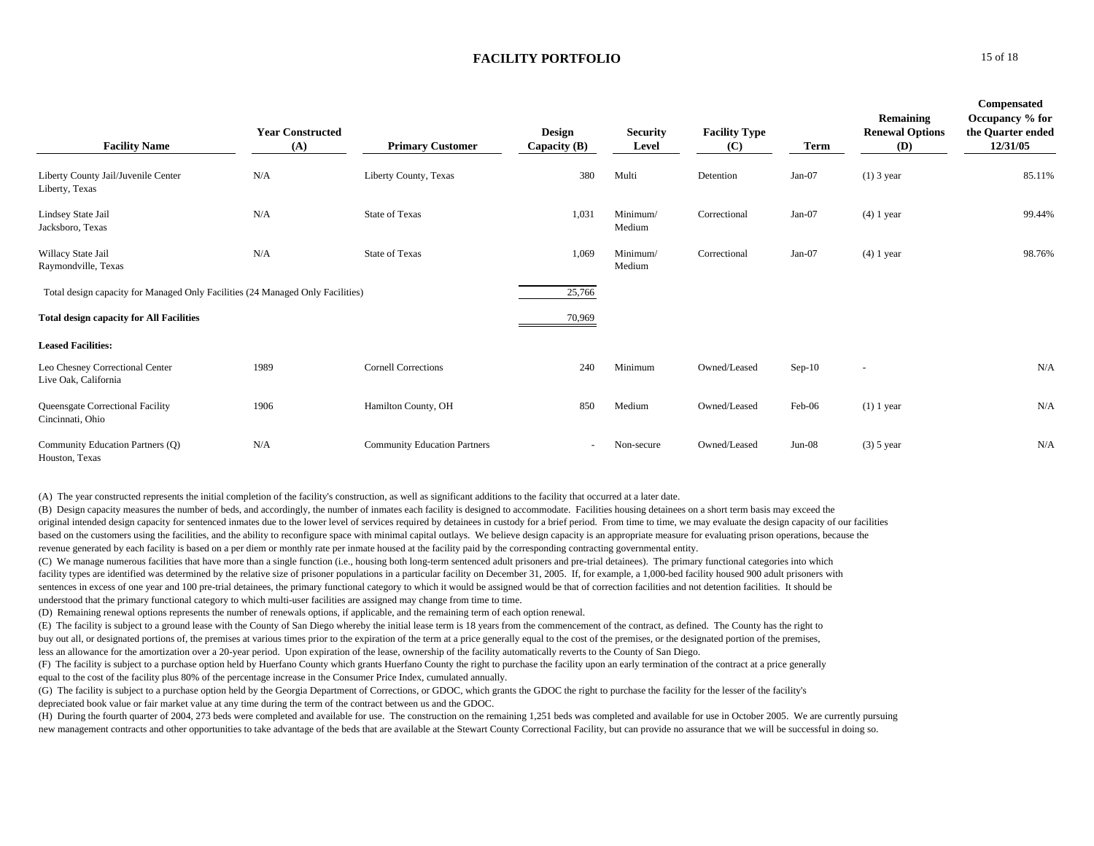| <b>Facility Name</b>                                                           | <b>Year Constructed</b><br>(A) | <b>Primary Customer</b>             | Design<br>Capacity $(B)$ | <b>Security</b><br>Level | <b>Facility Type</b><br>(C) | <b>Term</b> | Remaining<br><b>Renewal Options</b><br><b>(D)</b> | Compensated<br>Occupancy % for<br>the Quarter ended<br>12/31/05 |
|--------------------------------------------------------------------------------|--------------------------------|-------------------------------------|--------------------------|--------------------------|-----------------------------|-------------|---------------------------------------------------|-----------------------------------------------------------------|
| Liberty County Jail/Juvenile Center<br>Liberty, Texas                          | N/A                            | Liberty County, Texas               | 380                      | Multi                    | Detention                   | Jan-07      | $(1)$ 3 year                                      | 85.11%                                                          |
| Lindsey State Jail<br>Jacksboro, Texas                                         | N/A                            | <b>State of Texas</b>               | 1,031                    | Minimum/<br>Medium       | Correctional                | Jan-07      | $(4)$ 1 year                                      | 99.44%                                                          |
| Willacy State Jail<br>Raymondville, Texas                                      | N/A                            | <b>State of Texas</b>               | 1,069                    | Minimum/<br>Medium       | Correctional                | Jan-07      | $(4)$ 1 year                                      | 98.76%                                                          |
| Total design capacity for Managed Only Facilities (24 Managed Only Facilities) |                                |                                     | 25,766                   |                          |                             |             |                                                   |                                                                 |
| <b>Total design capacity for All Facilities</b>                                |                                |                                     | 70,969                   |                          |                             |             |                                                   |                                                                 |
| <b>Leased Facilities:</b>                                                      |                                |                                     |                          |                          |                             |             |                                                   |                                                                 |
| Leo Chesney Correctional Center<br>Live Oak, California                        | 1989                           | <b>Cornell Corrections</b>          | 240                      | Minimum                  | Owned/Leased                | $Sep-10$    | $\overline{\phantom{a}}$                          | N/A                                                             |
| Queensgate Correctional Facility<br>Cincinnati, Ohio                           | 1906                           | Hamilton County, OH                 | 850                      | Medium                   | Owned/Leased                | Feb-06      | $(1)$ 1 year                                      | N/A                                                             |
| Community Education Partners (Q)<br>Houston, Texas                             | N/A                            | <b>Community Education Partners</b> |                          | Non-secure               | Owned/Leased                | $Jun-08$    | $(3)$ 5 year                                      | N/A                                                             |

(A) The year constructed represents the initial completion of the facility's construction, as well as significant additions to the facility that occurred at a later date.

(B) Design capacity measures the number of beds, and accordingly, the number of inmates each facility is designed to accommodate. Facilities housing detainees on a short term basis may exceed the original intended design capacity for sentenced inmates due to the lower level of services required by detainees in custody for a brief period. From time to time, we may evaluate the design capacity of our facilities based on the customers using the facilities, and the ability to reconfigure space with minimal capital outlays. We believe design capacity is an appropriate measure for evaluating prison operations, because the revenue generated by each facility is based on a per diem or monthly rate per inmate housed at the facility paid by the corresponding contracting governmental entity.

(C) We manage numerous facilities that have more than a single function (i.e., housing both long-term sentenced adult prisoners and pre-trial detainees). The primary functional categories into which facility types are identified was determined by the relative size of prisoner populations in a particular facility on December 31, 2005. If, for example, a 1,000-bed facility housed 900 adult prisoners with sentences in excess of one year and 100 pre-trial detainees, the primary functional category to which it would be assigned would be that of correction facilities and not detention facilities. It should be understood that the primary functional category to which multi-user facilities are assigned may change from time to time.

(D) Remaining renewal options represents the number of renewals options, if applicable, and the remaining term of each option renewal.

(E) The facility is subject to a ground lease with the County of San Diego whereby the initial lease term is 18 years from the commencement of the contract, as defined. The County has the right to buy out all, or designated portions of, the premises at various times prior to the expiration of the term at a price generally equal to the cost of the premises, or the designated portion of the premises, less an allowance for the amortization over a 20-year period. Upon expiration of the lease, ownership of the facility automatically reverts to the County of San Diego.

(F) The facility is subject to a purchase option held by Huerfano County which grants Huerfano County the right to purchase the facility upon an early termination of the contract at a price generally equal to the cost of the facility plus 80% of the percentage increase in the Consumer Price Index, cumulated annually.

(G) The facility is subject to a purchase option held by the Georgia Department of Corrections, or GDOC, which grants the GDOC the right to purchase the facility for the lesser of the facility's depreciated book value or fair market value at any time during the term of the contract between us and the GDOC.

(H) During the fourth quarter of 2004, 273 beds were completed and available for use. The construction on the remaining 1,251 beds was completed and available for use in October 2005. We are currently pursuing new management contracts and other opportunities to take advantage of the beds that are available at the Stewart County Correctional Facility, but can provide no assurance that we will be successful in doing so.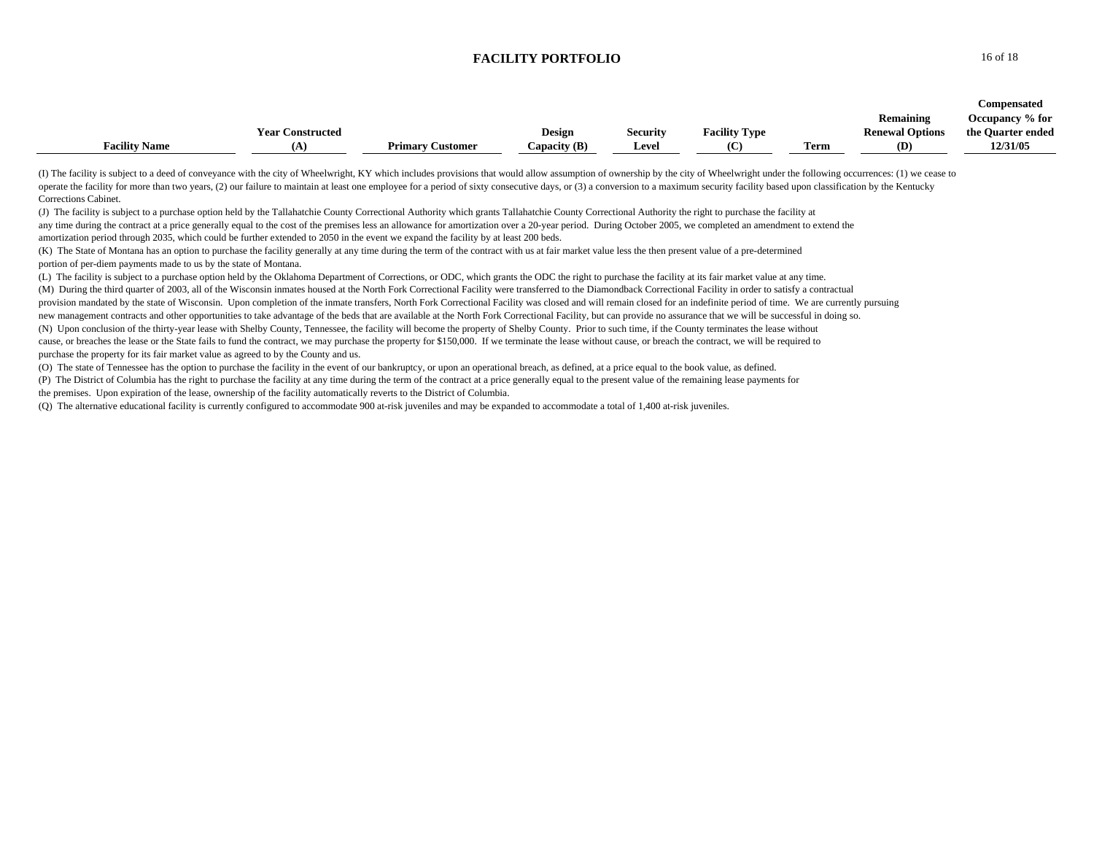|                      |                         |                         |                |                 |                      |              |                        | Compensated       |
|----------------------|-------------------------|-------------------------|----------------|-----------------|----------------------|--------------|------------------------|-------------------|
|                      |                         |                         |                |                 |                      |              | <b>Remaining</b>       | Occupancy % for   |
|                      | <b>Year Constructed</b> |                         | Design         | <b>Security</b> | <b>Facility Type</b> |              | <b>Renewal Options</b> | the Quarter ended |
| <b>Facility Name</b> | œ                       | <b>Primary Customer</b> | Capacity $(B)$ | Level           |                      | nm.<br>l'erm | (D)                    | 12/31/05          |

(I) The facility is subject to a deed of conveyance with the city of Wheelwright, KY which includes provisions that would allow assumption of ownership by the city of Wheelwright under the following occurrences: (1) we cea operate the facility for more than two years, (2) our failure to maintain at least one employee for a period of sixty consecutive days, or (3) a conversion to a maximum security facility based upon classification by the Ke Corrections Cabinet.

(J) The facility is subject to a purchase option held by the Tallahatchie County Correctional Authority which grants Tallahatchie County Correctional Authority the right to purchase the facility at any time during the contract at a price generally equal to the cost of the premises less an allowance for amortization over a 20-year period. During October 2005, we completed an amendment to extend the amortization period through 2035, which could be further extended to 2050 in the event we expand the facility by at least 200 beds.

(K) The State of Montana has an option to purchase the facility generally at any time during the term of the contract with us at fair market value less the then present value of a pre-determined portion of per-diem payments made to us by the state of Montana.

(L) The facility is subject to a purchase option held by the Oklahoma Department of Corrections, or ODC, which grants the ODC the right to purchase the facility at its fair market value at any time. (M) During the third quarter of 2003, all of the Wisconsin inmates housed at the North Fork Correctional Facility were transferred to the Diamondback Correctional Facility in order to satisfy a contractual provision mandated by the state of Wisconsin. Upon completion of the inmate transfers, North Fork Correctional Facility was closed and will remain closed for an indefinite period of time. We are currently pursuing new management contracts and other opportunities to take advantage of the beds that are available at the North Fork Correctional Facility, but can provide no assurance that we will be successful in doing so. (N) Upon conclusion of the thirty-year lease with Shelby County, Tennessee, the facility will become the property of Shelby County. Prior to such time, if the County terminates the lease without cause, or breaches the lease or the State fails to fund the contract, we may purchase the property for \$150,000. If we terminate the lease without cause, or breach the contract, we will be required to purchase the property for its fair market value as agreed to by the County and us.

(O) The state of Tennessee has the option to purchase the facility in the event of our bankruptcy, or upon an operational breach, as defined, at a price equal to the book value, as defined.

(P) The District of Columbia has the right to purchase the facility at any time during the term of the contract at a price generally equal to the present value of the remaining lease payments for the premises. Upon expiration of the lease, ownership of the facility automatically reverts to the District of Columbia.

(Q) The alternative educational facility is currently configured to accommodate 900 at-risk juveniles and may be expanded to accommodate a total of 1,400 at-risk juveniles.

**0** 16 of 18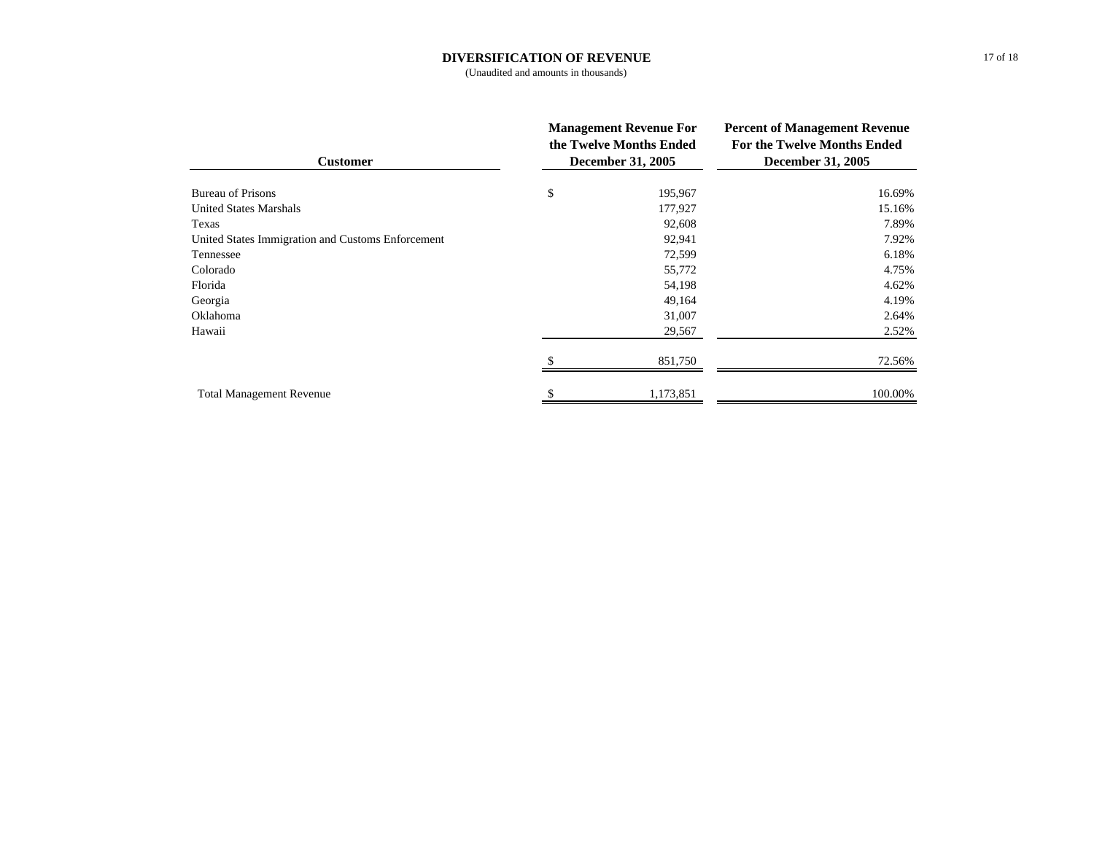## **DIVERSIFICATION OF REVENUE**

(Unaudited and amounts in thousands)

| <b>Customer</b>                                   | <b>Management Revenue For</b><br>the Twelve Months Ended<br><b>December 31, 2005</b> | <b>Percent of Management Revenue</b><br>For the Twelve Months Ended<br><b>December 31, 2005</b> |  |
|---------------------------------------------------|--------------------------------------------------------------------------------------|-------------------------------------------------------------------------------------------------|--|
| <b>Bureau of Prisons</b>                          | \$<br>195,967                                                                        | 16.69%                                                                                          |  |
| United States Marshals                            | 177,927                                                                              | 15.16%                                                                                          |  |
| Texas                                             | 92,608                                                                               | 7.89%                                                                                           |  |
| United States Immigration and Customs Enforcement | 92,941                                                                               | 7.92%                                                                                           |  |
| Tennessee                                         | 72,599                                                                               | 6.18%                                                                                           |  |
| Colorado                                          | 55,772                                                                               | 4.75%                                                                                           |  |
| Florida                                           | 54,198                                                                               | 4.62%                                                                                           |  |
| Georgia                                           | 49,164                                                                               | 4.19%                                                                                           |  |
| Oklahoma                                          | 31,007                                                                               | 2.64%                                                                                           |  |
| Hawaii                                            | 29,567                                                                               | 2.52%                                                                                           |  |
|                                                   | 851,750                                                                              | 72.56%                                                                                          |  |
| <b>Total Management Revenue</b>                   | 1,173,851                                                                            | 100.00%                                                                                         |  |